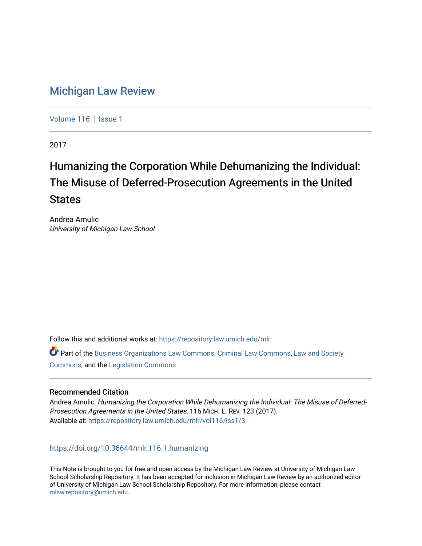# [Michigan Law Review](https://repository.law.umich.edu/mlr)

[Volume 116](https://repository.law.umich.edu/mlr/vol116) | [Issue 1](https://repository.law.umich.edu/mlr/vol116/iss1)

2017

# Humanizing the Corporation While Dehumanizing the Individual: The Misuse of Deferred-Prosecution Agreements in the United **States**

Andrea Amulic University of Michigan Law School

Follow this and additional works at: [https://repository.law.umich.edu/mlr](https://repository.law.umich.edu/mlr?utm_source=repository.law.umich.edu%2Fmlr%2Fvol116%2Fiss1%2F3&utm_medium=PDF&utm_campaign=PDFCoverPages) 

Part of the [Business Organizations Law Commons](http://network.bepress.com/hgg/discipline/900?utm_source=repository.law.umich.edu%2Fmlr%2Fvol116%2Fiss1%2F3&utm_medium=PDF&utm_campaign=PDFCoverPages), [Criminal Law Commons,](http://network.bepress.com/hgg/discipline/912?utm_source=repository.law.umich.edu%2Fmlr%2Fvol116%2Fiss1%2F3&utm_medium=PDF&utm_campaign=PDFCoverPages) [Law and Society](http://network.bepress.com/hgg/discipline/853?utm_source=repository.law.umich.edu%2Fmlr%2Fvol116%2Fiss1%2F3&utm_medium=PDF&utm_campaign=PDFCoverPages)  [Commons](http://network.bepress.com/hgg/discipline/853?utm_source=repository.law.umich.edu%2Fmlr%2Fvol116%2Fiss1%2F3&utm_medium=PDF&utm_campaign=PDFCoverPages), and the [Legislation Commons](http://network.bepress.com/hgg/discipline/859?utm_source=repository.law.umich.edu%2Fmlr%2Fvol116%2Fiss1%2F3&utm_medium=PDF&utm_campaign=PDFCoverPages)

# Recommended Citation

Andrea Amulic, Humanizing the Corporation While Dehumanizing the Individual: The Misuse of Deferred-Prosecution Agreements in the United States, 116 MICH. L. REV. 123 (2017). Available at: [https://repository.law.umich.edu/mlr/vol116/iss1/3](https://repository.law.umich.edu/mlr/vol116/iss1/3?utm_source=repository.law.umich.edu%2Fmlr%2Fvol116%2Fiss1%2F3&utm_medium=PDF&utm_campaign=PDFCoverPages) 

<https://doi.org/10.36644/mlr.116.1.humanizing>

This Note is brought to you for free and open access by the Michigan Law Review at University of Michigan Law School Scholarship Repository. It has been accepted for inclusion in Michigan Law Review by an authorized editor of University of Michigan Law School Scholarship Repository. For more information, please contact [mlaw.repository@umich.edu.](mailto:mlaw.repository@umich.edu)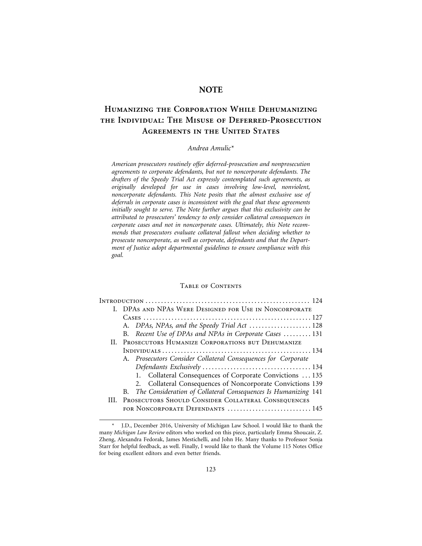# **NOTE**

# **Humanizing the Corporation While Dehumanizing the Individual: The Misuse of Deferred-Prosecution Agreements in the United States**

# *Andrea Amulic\**

*American prosecutors routinely offer deferred-prosecution and nonprosecution agreements to corporate defendants, but not to noncorporate defendants. The drafters of the Speedy Trial Act expressly contemplated such agreements, as originally developed for use in cases involving low-level, nonviolent, noncorporate defendants. This Note posits that the almost exclusive use of deferrals in corporate cases is inconsistent with the goal that these agreements initially sought to serve. The Note further argues that this exclusivity can be attributed to prosecutors' tendency to only consider collateral consequences in corporate cases and not in noncorporate cases. Ultimately, this Note recommends that prosecutors evaluate collateral fallout when deciding whether to prosecute noncorporate, as well as corporate, defendants and that the Department of Justice adopt departmental guidelines to ensure compliance with this goal.*

#### Table of Contents

|   | I. DPAS AND NPAS WERE DESIGNED FOR USE IN NONCORPORATE            |
|---|-------------------------------------------------------------------|
|   |                                                                   |
|   | A. DPAs, NPAs, and the Speedy Trial Act  128                      |
|   | B. Recent Use of DPAs and NPAs in Corporate Cases  131            |
|   | II. PROSECUTORS HUMANIZE CORPORATIONS BUT DEHUMANIZE              |
|   |                                                                   |
|   | A. Prosecutors Consider Collateral Consequences for Corporate     |
|   |                                                                   |
|   | 1. Collateral Consequences of Corporate Convictions  135          |
|   | 2. Collateral Consequences of Noncorporate Convictions 139        |
|   | B. The Consideration of Collateral Consequences Is Humanizing 141 |
| Ш | PROSECUTORS SHOULD CONSIDER COLLATERAL CONSEQUENCES               |
|   | FOR NONCORPORATE DEFENDANTS  145                                  |
|   |                                                                   |

J.D., December 2016, University of Michigan Law School. I would like to thank the many *Michigan Law Review* editors who worked on this piece, particularly Emma Shoucair, Z. Zheng, Alexandra Fedorak, James Mestichelli, and John He. Many thanks to Professor Sonja Starr for helpful feedback, as well. Finally, I would like to thank the Volume 115 Notes Office for being excellent editors and even better friends.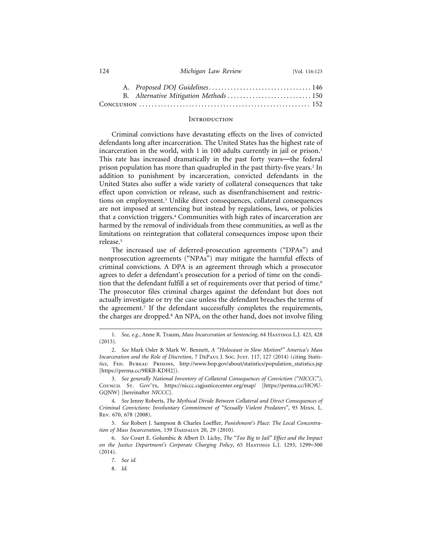| 124 | Michigan Law Review | [Vol. 116:123 |
|-----|---------------------|---------------|
|-----|---------------------|---------------|

| B. Alternative Mitigation Methods  150 |  |
|----------------------------------------|--|
|                                        |  |

#### **INTRODUCTION**

Criminal convictions have devastating effects on the lives of convicted defendants long after incarceration. The United States has the highest rate of incarceration in the world, with 1 in 100 adults currently in jail or prison.<sup>1</sup> This rate has increased dramatically in the past forty years—the federal prison population has more than quadrupled in the past thirty-five years.<sup>2</sup> In addition to punishment by incarceration, convicted defendants in the United States also suffer a wide variety of collateral consequences that take effect upon conviction or release, such as disenfranchisement and restrictions on employment.<sup>3</sup> Unlike direct consequences, collateral consequences are not imposed at sentencing but instead by regulations, laws, or policies that a conviction triggers.4 Communities with high rates of incarceration are harmed by the removal of individuals from these communities, as well as the limitations on reintegration that collateral consequences impose upon their release.5

The increased use of deferred-prosecution agreements ("DPAs") and nonprosecution agreements ("NPAs") may mitigate the harmful effects of criminal convictions. A DPA is an agreement through which a prosecutor agrees to defer a defendant's prosecution for a period of time on the condition that the defendant fulfill a set of requirements over that period of time.<sup>6</sup> The prosecutor files criminal charges against the defendant but does not actually investigate or try the case unless the defendant breaches the terms of the agreement.7 If the defendant successfully completes the requirements, the charges are dropped.<sup>8</sup> An NPA, on the other hand, does not involve filing

8. *Id.*

<sup>1.</sup> *See, e.g.*, Anne R. Traum, *Mass Incarceration at Sentencing*, 64 Hastings L.J. 423, 428 (2013).

<sup>2.</sup> *See* Mark Osler & Mark W. Bennett, *A "Holocaust in Slow Motion?" America's Mass* Incarceration and the Role of Discretion, 7 DEPAUL J. Soc. JUST. 117, 127 (2014) (citing *Statistics*, Fed. Bureau Prisons, http://www.bop.gov/about/statistics/population\_statistics.jsp [https://perma.cc/9RKB-KDH2]).

<sup>3.</sup> *See generally National Inventory of Collateral Consequences of Conviction ("NICCC")*, Council St. Gov'ts, https://niccc.csgjusticecenter.org/map/ [https://perma.cc/HC9U-GQNW] [hereinafter *NICCC*].

<sup>4.</sup> *See* Jenny Roberts, *The Mythical Divide Between Collateral and Direct Consequences of Criminal Convictions: Involuntary Commitment of "Sexually Violent Predators"*, 93 Minn. L. Rev. 670, 678 (2008).

<sup>5.</sup> *See* Robert J. Sampson & Charles Loeffler, *Punishment's Place: The Local Concentra*tion of Mass Incarceration, 139 DAEDALUS 20, 29 (2010).

<sup>6.</sup> *See* Court E. Golumbic & Albert D. Lichy, *The "Too Big to Jail" Effect and the Impact on the Justice Department's Corporate Charging Policy*, 65 Hastings L.J. 1293, 1299–300 (2014).

<sup>7.</sup> *See id.*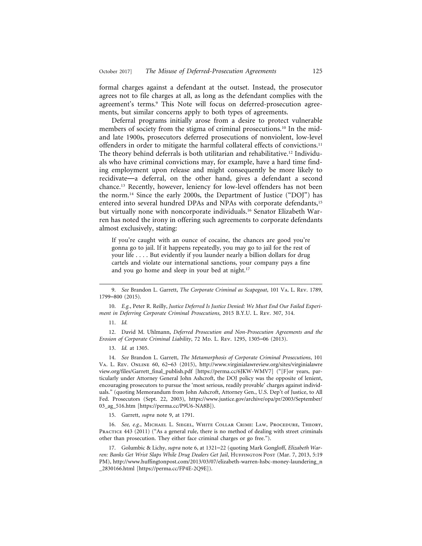formal charges against a defendant at the outset. Instead, the prosecutor agrees not to file charges at all, as long as the defendant complies with the agreement's terms.<sup>9</sup> This Note will focus on deferred-prosecution agreements, but similar concerns apply to both types of agreements.

Deferral programs initially arose from a desire to protect vulnerable members of society from the stigma of criminal prosecutions.<sup>10</sup> In the midand late 1900s, prosecutors deferred prosecutions of nonviolent, low-level offenders in order to mitigate the harmful collateral effects of convictions.11 The theory behind deferrals is both utilitarian and rehabilitative.<sup>12</sup> Individuals who have criminal convictions may, for example, have a hard time finding employment upon release and might consequently be more likely to recidivate—a deferral, on the other hand, gives a defendant a second chance.13 Recently, however, leniency for low-level offenders has not been the norm.14 Since the early 2000s, the Department of Justice ("DOJ") has entered into several hundred DPAs and NPAs with corporate defendants,15 but virtually none with noncorporate individuals.<sup>16</sup> Senator Elizabeth Warren has noted the irony in offering such agreements to corporate defendants almost exclusively, stating:

If you're caught with an ounce of cocaine, the chances are good you're gonna go to jail. If it happens repeatedly, you may go to jail for the rest of your life . . . . But evidently if you launder nearly a billion dollars for drug cartels and violate our international sanctions, your company pays a fine and you go home and sleep in your bed at night.<sup>17</sup>

10. *E.g.*, Peter R. Reilly, *Justice Deferred Is Justice Denied: We Must End Our Failed Experiment in Deferring Corporate Criminal Prosecutions*, 2015 B.Y.U. L. Rev. 307, 314.

11. *Id.*

12. David M. Uhlmann, *Deferred Prosecution and Non-Prosecution Agreements and the Erosion of Corporate Criminal Liability*, 72 Mp. L. Rev. 1295, 1305–06 (2013).

13. *Id.* at 1305.

14. *See* Brandon L. Garrett, *The Metamorphosis of Corporate Criminal Prosecutions*, 101 Va. L. Rev. Online 60, 62–63 (2015), http://www.virginialawreview.org/sites/virginialawre view.org/files/Garrett\_final\_publish.pdf [https://perma.cc/6JKW-WMV7] ("[F]or years, particularly under Attorney General John Ashcroft, the DOJ policy was the opposite of lenient, encouraging prosecutors to pursue the 'most serious, readily provable' charges against individuals." (quoting Memorandum from John Ashcroft, Attorney Gen., U.S. Dep't of Justice, to All Fed. Prosecutors (Sept. 22, 2003), https://www.justice.gov/archive/opa/pr/2003/September/ 03\_ag\_516.htm [https://perma.cc/P9U6-NA8B]).

15. Garrett, *supra* note 9, at 1791.

16. *See, e.g.*, Michael L. Siegel, White Collar Crime: Law, Procedure, Theory, PRACTICE 443 (2011) ("As a general rule, there is no method of dealing with street criminals other than prosecution. They either face criminal charges or go free.").

17. Golumbic & Lichy, *supra* note 6, at 1321–22 (quoting Mark Gongloff, *Elizabeth Warren: Banks Get Wrist Slaps While Drug Dealers Get Jail*, HUFFINGTON POST (Mar. 7, 2013, 5:19 PM), http://www.huffingtonpost.com/2013/03/07/elizabeth-warren-hsbc-money-laundering\_n \_2830166.html [https://perma.cc/FP4E-2Q9E]).

<sup>9.</sup> *See* Brandon L. Garrett, *The Corporate Criminal as Scapegoat*, 101 Va. L. Rev. 1789, 1799–800 (2015).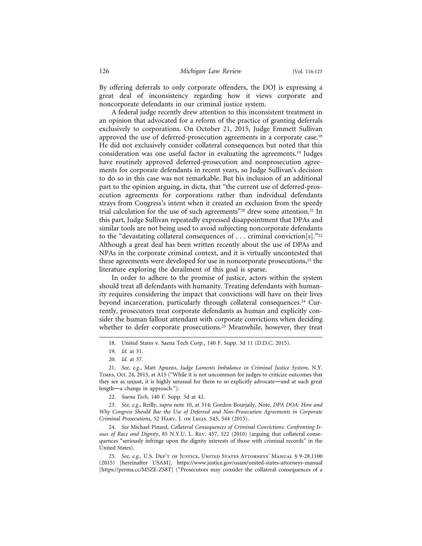By offering deferrals to only corporate offenders, the DOJ is expressing a great deal of inconsistency regarding how it views corporate and noncorporate defendants in our criminal justice system.

A federal judge recently drew attention to this inconsistent treatment in an opinion that advocated for a reform of the practice of granting deferrals exclusively to corporations. On October 21, 2015, Judge Emmett Sullivan approved the use of deferred-prosecution agreements in a corporate case.<sup>18</sup> He did not exclusively consider collateral consequences but noted that this consideration was one useful factor in evaluating the agreements.19 Judges have routinely approved deferred-prosecution and nonprosecution agreements for corporate defendants in recent years, so Judge Sullivan's decision to do so in this case was not remarkable. But his inclusion of an additional part to the opinion arguing, in dicta, that "the current use of deferred-prosecution agreements for corporations rather than individual defendants strays from Congress's intent when it created an exclusion from the speedy trial calculation for the use of such agreements"<sup>20</sup> drew some attention.<sup>21</sup> In this part, Judge Sullivan repeatedly expressed disappointment that DPAs and similar tools are not being used to avoid subjecting noncorporate defendants to the "devastating collateral consequences of . . . criminal conviction[s]."22 Although a great deal has been written recently about the use of DPAs and NPAs in the corporate criminal context, and it is virtually uncontested that these agreements were developed for use in noncorporate prosecutions,<sup>23</sup> the literature exploring the derailment of this goal is sparse.

In order to adhere to the promise of justice, actors within the system should treat all defendants with humanity. Treating defendants with humanity requires considering the impact that convictions will have on their lives beyond incarceration, particularly through collateral consequences.<sup>24</sup> Currently, prosecutors treat corporate defendants as human and explicitly consider the human fallout attendant with corporate convictions when deciding whether to defer corporate prosecutions.<sup>25</sup> Meanwhile, however, they treat

24. *See* Michael Pinard, *Collateral Consequences of Criminal Convictions: Confronting Issues of Race and Dignity*, 85 N.Y.U. L. Rev. 457, 522 (2010) (arguing that collateral consequences "seriously infringe upon the dignity interests of those with criminal records" in the United States).

25. *See, e.g.,* U.S. Dep't of Justice, United States Attorneys' Manual § 9-28.1100 (2015) [hereinafter USAM], https://www.justice.gov/usam/united-states-attorneys-manual [https://perma.cc/M5ZE-ZS8T] ("Prosecutors may consider the collateral consequences of a

<sup>18.</sup> United States v. Saena Tech Corp., 140 F. Supp. 3d 11 (D.D.C. 2015).

<sup>19.</sup> *Id.* at 31.

<sup>20.</sup> *Id.* at 37.

<sup>21.</sup> *See, e.g.*, Matt Apuzzo, *Judge Laments Imbalance in Criminal Justice System*, N.Y. Times, Oct. 24, 2015, at A15 ("While it is not uncommon for judges to criticize outcomes that they see as unjust, it is highly unusual for them to so explicitly advocate—and at such great length—a change in approach.").

<sup>22.</sup> *Saena Tech*, 140 F. Supp. 3d at 42.

<sup>23.</sup> *See, e.g.*, Reilly, *supra* note 10, at 314; Gordon Bourjaily, Note, *DPA DOA: How and Why Congress Should Bar the Use of Deferred and Non-Prosecution Agreements in Corporate Criminal Prosecutions*, 52 Harv. J. on Legis. 543, 544 (2015).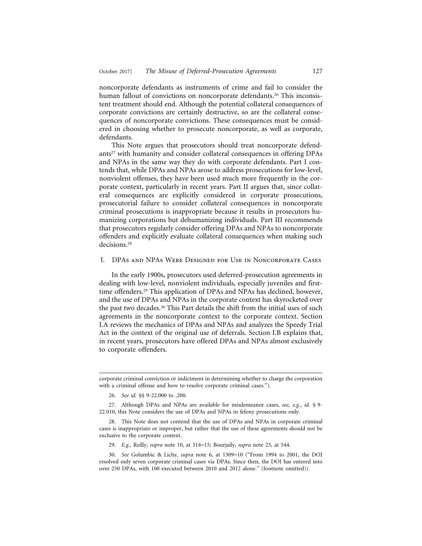noncorporate defendants as instruments of crime and fail to consider the human fallout of convictions on noncorporate defendants.<sup>26</sup> This inconsistent treatment should end. Although the potential collateral consequences of corporate convictions are certainly destructive, so are the collateral consequences of noncorporate convictions. These consequences must be considered in choosing whether to prosecute noncorporate, as well as corporate, defendants.

This Note argues that prosecutors should treat noncorporate defendants<sup>27</sup> with humanity and consider collateral consequences in offering DPAs and NPAs in the same way they do with corporate defendants. Part I contends that, while DPAs and NPAs arose to address prosecutions for low-level, nonviolent offenses, they have been used much more frequently in the corporate context, particularly in recent years. Part II argues that, since collateral consequences are explicitly considered in corporate prosecutions, prosecutorial failure to consider collateral consequences in noncorporate criminal prosecutions is inappropriate because it results in prosecutors humanizing corporations but dehumanizing individuals. Part III recommends that prosecutors regularly consider offering DPAs and NPAs to noncorporate offenders and explicitly evaluate collateral consequences when making such decisions.28

I. DPAs and NPAs Were Designed for Use in Noncorporate Cases

In the early 1900s, prosecutors used deferred-prosecution agreements in dealing with low-level, nonviolent individuals, especially juveniles and firsttime offenders.29 This application of DPAs and NPAs has declined, however, and the use of DPAs and NPAs in the corporate context has skyrocketed over the past two decades.<sup>30</sup> This Part details the shift from the initial uses of such agreements in the noncorporate context to the corporate context. Section I.A reviews the mechanics of DPAs and NPAs and analyzes the Speedy Trial Act in the context of the original use of deferrals. Section I.B explains that, in recent years, prosecutors have offered DPAs and NPAs almost exclusively to corporate offenders.

26. *See id.* §§ 9-22.000 to .200.

29. *E.g.*, Reilly, *supra* note 10, at 314–15; Bourjaily, *supra* note 23, at 544.

corporate criminal conviction or indictment in determining whether to charge the corporation with a criminal offense and how to resolve corporate criminal cases.").

<sup>27.</sup> Although DPAs and NPAs are available for misdemeanor cases, *see, e.g.*, *id.* § 9- 22.010, this Note considers the use of DPAs and NPAs in felony prosecutions only.

<sup>28.</sup> This Note does not contend that the use of DPAs and NPAs in corporate criminal cases is inappropriate or improper, but rather that the use of these agreements should not be exclusive to the corporate context.

<sup>30.</sup> *See* Golumbic & Lichy, *supra* note 6, at 1309–10 ("From 1994 to 2001, the DOJ resolved only seven corporate criminal cases via DPAs. Since then, the DOJ has entered into over 250 DPAs, with 100 executed between 2010 and 2012 alone." (footnote omitted)).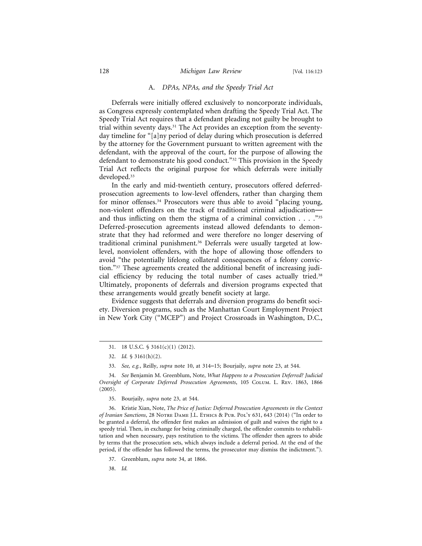#### A. *DPAs, NPAs, and the Speedy Trial Act*

Deferrals were initially offered exclusively to noncorporate individuals, as Congress expressly contemplated when drafting the Speedy Trial Act. The Speedy Trial Act requires that a defendant pleading not guilty be brought to trial within seventy days.<sup>31</sup> The Act provides an exception from the seventyday timeline for "[a]ny period of delay during which prosecution is deferred by the attorney for the Government pursuant to written agreement with the defendant, with the approval of the court, for the purpose of allowing the defendant to demonstrate his good conduct."32 This provision in the Speedy Trial Act reflects the original purpose for which deferrals were initially developed.<sup>33</sup>

In the early and mid-twentieth century, prosecutors offered deferredprosecution agreements to low-level offenders, rather than charging them for minor offenses.34 Prosecutors were thus able to avoid "placing young, non-violent offenders on the track of traditional criminal adjudication and thus inflicting on them the stigma of a criminal conviction  $\dots$ ."<sup>35</sup> Deferred-prosecution agreements instead allowed defendants to demonstrate that they had reformed and were therefore no longer deserving of traditional criminal punishment.36 Deferrals were usually targeted at lowlevel, nonviolent offenders, with the hope of allowing those offenders to avoid "the potentially lifelong collateral consequences of a felony conviction."37 These agreements created the additional benefit of increasing judicial efficiency by reducing the total number of cases actually tried.38 Ultimately, proponents of deferrals and diversion programs expected that these arrangements would greatly benefit society at large.

Evidence suggests that deferrals and diversion programs do benefit society. Diversion programs, such as the Manhattan Court Employment Project in New York City ("MCEP") and Project Crossroads in Washington, D.C.,

36. Kristie Xian, Note, *The Price of Justice: Deferred Prosecution Agreements in the Context of Iranian Sanctions*, 28 Notre Dame J.L. Ethics & Pub. Pol'y 631, 643 (2014) ("In order to be granted a deferral, the offender first makes an admission of guilt and waives the right to a speedy trial. Then, in exchange for being criminally charged, the offender commits to rehabilitation and when necessary, pays restitution to the victims. The offender then agrees to abide by terms that the prosecution sets, which always include a deferral period. At the end of the period, if the offender has followed the terms, the prosecutor may dismiss the indictment.").

38. *Id.*

<sup>31. 18</sup> U.S.C. § 3161(c)(1) (2012).

<sup>32.</sup> *Id.* § 3161(h)(2).

<sup>33.</sup> *See, e.g.*, Reilly, *supra* note 10, at 314–15; Bourjaily, *supra* note 23, at 544.

<sup>34.</sup> *See* Benjamin M. Greenblum, Note, *What Happens to a Prosecution Deferred? Judicial Oversight of Corporate Deferred Prosecution Agreements*, 105 Colum. L. Rev. 1863, 1866 (2005).

<sup>35.</sup> Bourjaily, *supra* note 23, at 544.

<sup>37.</sup> Greenblum, *supra* note 34, at 1866.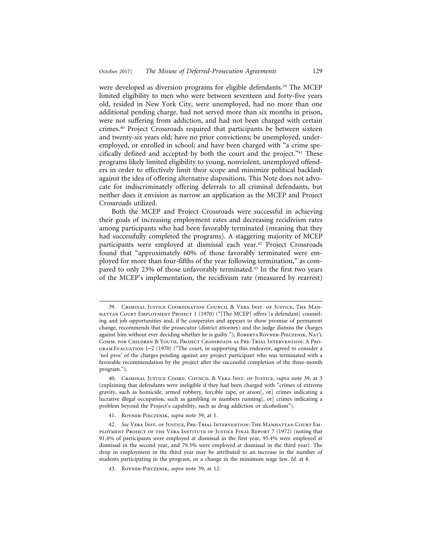were developed as diversion programs for eligible defendants.<sup>39</sup> The MCEP limited eligibility to men who were between seventeen and forty-five years old, resided in New York City, were unemployed, had no more than one additional pending charge, had not served more than six months in prison, were not suffering from addiction, and had not been charged with certain crimes.40 Project Crossroads required that participants be between sixteen and twenty-six years old; have no prior convictions; be unemployed, underemployed, or enrolled in school; and have been charged with "a crime specifically defined and accepted by both the court and the project."41 These programs likely limited eligibility to young, nonviolent, unemployed offenders in order to effectively limit their scope and minimize political backlash against the idea of offering alternative dispositions. This Note does not advocate for indiscriminately offering deferrals to all criminal defendants, but neither does it envision as narrow an application as the MCEP and Project Crossroads utilized.

Both the MCEP and Project Crossroads were successful in achieving their goals of increasing employment rates and decreasing recidivism rates among participants who had been favorably terminated (meaning that they had successfully completed the programs). A staggering majority of MCEP participants were employed at dismissal each year.<sup>42</sup> Project Crossroads found that "approximately 60% of those favorably terminated were employed for more than four-fifths of the year following termination," as compared to only 23% of those unfavorably terminated.<sup>43</sup> In the first two years of the MCEP's implementation, the recidivism rate (measured by rearrest)

<sup>39.</sup> Criminal Justice Coordination Council & Vera Inst. of Justice, The Manhattan Court Employment Project 1 (1970) ("[The MCEP] offers [a defendant] counseling and job opportunities and, if he cooperates and appears to show promise of permanent change, recommends that the prosecutor (district attorney) and the judge dismiss the charges against him without ever deciding whether he is guilty."); ROBERTA ROVNER-PIECZENIK, NAT'L Comm. for Children & Youth, Project Crossroads as Pre-Trial Intervention: A Program Evaluation 1–2 (1970) ("The court, in supporting this endeavor, agreed to consider a 'nol pros' of the charges pending against any project participant who was terminated with a favorable recommendation by the project after the successful completion of the three-month program.").

<sup>40.</sup> Criminal Justice Coord. Council & Vera Inst. of Justice, *supra* note 39, at 3 (explaining that defendants were ineligible if they had been charged with "crimes of extreme gravity, such as homicide, armed robbery, forcible rape, or arson[, or] crimes indicating a lucrative illegal occupation, such as gambling or numbers running[, or] crimes indicating a problem beyond the Project's capability, such as drug addiction or alcoholism").

<sup>41.</sup> Rovner-Pieczenik, *supra* note 39, at 1.

<sup>42.</sup> *See* Vera Inst. of Justice, Pre-Trial Intervention: The Manhattan Court Employment Project of the Vera Institute of Justice Final Report 7 (1972) (noting that 91.4% of participants were employed at dismissal in the first year, 95.4% were employed at dismissal in the second year, and 79.3% were employed at dismissal in the third year). The drop in employment in the third year may be attributed to an increase in the number of students participating in the program, or a change in the minimum wage law. *Id.* at 8.

<sup>43.</sup> Rovner-Pieczenik, *supra* note 39, at 12.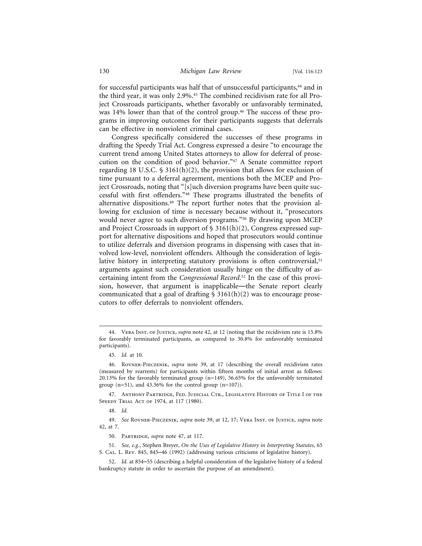for successful participants was half that of unsuccessful participants,<sup>44</sup> and in the third year, it was only 2.9%.45 The combined recidivism rate for all Project Crossroads participants, whether favorably or unfavorably terminated, was 14% lower than that of the control group.<sup>46</sup> The success of these programs in improving outcomes for their participants suggests that deferrals can be effective in nonviolent criminal cases.

Congress specifically considered the successes of these programs in drafting the Speedy Trial Act. Congress expressed a desire "to encourage the current trend among United States attorneys to allow for deferral of prosecution on the condition of good behavior."47 A Senate committee report regarding 18 U.S.C.  $\frac{1}{5}$  3161(h)(2), the provision that allows for exclusion of time pursuant to a deferral agreement, mentions both the MCEP and Project Crossroads, noting that "[s]uch diversion programs have been quite successful with first offenders."48 These programs illustrated the benefits of alternative dispositions.49 The report further notes that the provision allowing for exclusion of time is necessary because without it, "prosecutors would never agree to such diversion programs."<sup>50</sup> By drawing upon MCEP and Project Crossroads in support of § 3161(h)(2), Congress expressed support for alternative dispositions and hoped that prosecutors would continue to utilize deferrals and diversion programs in dispensing with cases that involved low-level, nonviolent offenders. Although the consideration of legislative history in interpreting statutory provisions is often controversial,<sup>51</sup> arguments against such consideration usually hinge on the difficulty of ascertaining intent from the *Congressional Record*. 52 In the case of this provision, however, that argument is inapplicable—the Senate report clearly communicated that a goal of drafting  $\frac{1}{2}$  3161(h)(2) was to encourage prosecutors to offer deferrals to nonviolent offenders.

<sup>44.</sup> Vera Inst. of Justice, *supra* note 42, at 12 (noting that the recidivism rate is 15.8% for favorably terminated participants, as compared to 30.8% for unfavorably terminated participants).

<sup>45.</sup> *Id.* at 10.

<sup>46.</sup> Rovner-Pieczenik, *supra* note 39, at 17 (describing the overall recidivism rates (measured by rearrests) for participants within fifteen months of initial arrest as follows: 20.13% for the favorably terminated group (n=149), 56.65% for the unfavorably terminated group  $(n=51)$ , and 43.36% for the control group  $(n=107)$ ).

<sup>47.</sup> Anthony Partridge, Fed. Judicial Ctr., Legislative History of Title I of the Speedy Trial Act of 1974, at 117 (1980).

<sup>48.</sup> *Id.*

<sup>49.</sup> *See* Rovner-Pieczenik, *supra* note 39, at 12, 17; Vera Inst. of Justice, *supra* note 42, at 7.

<sup>50.</sup> Partridge, *supra* note 47, at 117.

<sup>51.</sup> *See, e.g.*, Stephen Breyer, *On the Uses of Legislative History in Interpreting Statutes*, 65 S. Cal. L. Rev. 845, 845–46 (1992) (addressing various criticisms of legislative history).

<sup>52.</sup> *Id.* at 854–55 (describing a helpful consideration of the legislative history of a federal bankruptcy statute in order to ascertain the purpose of an amendment).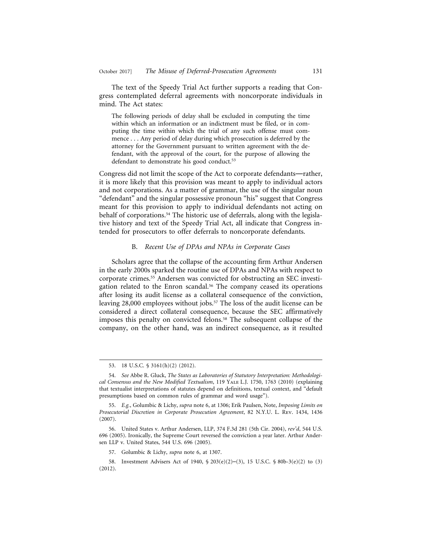The text of the Speedy Trial Act further supports a reading that Congress contemplated deferral agreements with noncorporate individuals in mind. The Act states:

The following periods of delay shall be excluded in computing the time within which an information or an indictment must be filed, or in computing the time within which the trial of any such offense must commence . . . Any period of delay during which prosecution is deferred by the attorney for the Government pursuant to written agreement with the defendant, with the approval of the court, for the purpose of allowing the defendant to demonstrate his good conduct.<sup>53</sup>

Congress did not limit the scope of the Act to corporate defendants—rather, it is more likely that this provision was meant to apply to individual actors and not corporations. As a matter of grammar, the use of the singular noun "defendant" and the singular possessive pronoun "his" suggest that Congress meant for this provision to apply to individual defendants not acting on behalf of corporations.54 The historic use of deferrals, along with the legislative history and text of the Speedy Trial Act, all indicate that Congress intended for prosecutors to offer deferrals to noncorporate defendants.

#### B. *Recent Use of DPAs and NPAs in Corporate Cases*

Scholars agree that the collapse of the accounting firm Arthur Andersen in the early 2000s sparked the routine use of DPAs and NPAs with respect to corporate crimes.55 Andersen was convicted for obstructing an SEC investigation related to the Enron scandal.<sup>56</sup> The company ceased its operations after losing its audit license as a collateral consequence of the conviction, leaving 28,000 employees without jobs.<sup>57</sup> The loss of the audit license can be considered a direct collateral consequence, because the SEC affirmatively imposes this penalty on convicted felons.<sup>58</sup> The subsequent collapse of the company, on the other hand, was an indirect consequence, as it resulted

<sup>53. 18</sup> U.S.C. § 3161(h)(2) (2012).

<sup>54.</sup> *See* Abbe R. Gluck, *The States as Laboratories of Statutory Interpretation: Methodological Consensus and the New Modified Textualism*, 119 Yale L.J. 1750, 1763 (2010) (explaining that textualist interpretations of statutes depend on definitions, textual context, and "default presumptions based on common rules of grammar and word usage").

<sup>55.</sup> *E.g.*, Golumbic & Lichy, *supra* note 6, at 1306; Erik Paulsen, Note, *Imposing Limits on Prosecutorial Discretion in Corporate Prosecution Agreement*, 82 N.Y.U. L. Rev. 1434, 1436 (2007).

<sup>56.</sup> United States v. Arthur Andersen, LLP, 374 F.3d 281 (5th Cir. 2004), *rev'd*, 544 U.S. 696 (2005). Ironically, the Supreme Court reversed the conviction a year later. Arthur Andersen LLP v. United States, 544 U.S. 696 (2005).

<sup>57.</sup> Golumbic & Lichy, *supra* note 6, at 1307.

<sup>58.</sup> Investment Advisers Act of 1940, § 203(e)(2)–(3), 15 U.S.C. § 80b-3(e)(2) to (3) (2012).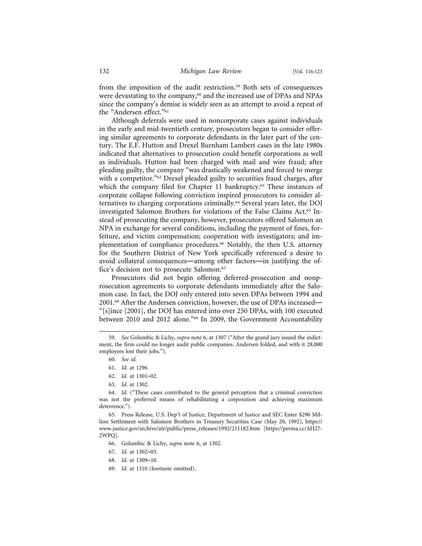from the imposition of the audit restriction.<sup>59</sup> Both sets of consequences were devastating to the company,<sup>60</sup> and the increased use of DPAs and NPAs since the company's demise is widely seen as an attempt to avoid a repeat of the "Andersen effect."61

Although deferrals were used in noncorporate cases against individuals in the early and mid-twentieth century, prosecutors began to consider offering similar agreements to corporate defendants in the later part of the century. The E.F. Hutton and Drexel Burnham Lambert cases in the late 1980s indicated that alternatives to prosecution could benefit corporations as well as individuals. Hutton had been charged with mail and wire fraud; after pleading guilty, the company "was drastically weakened and forced to merge with a competitor."<sup>62</sup> Drexel pleaded guilty to securities fraud charges, after which the company filed for Chapter 11 bankruptcy. $63$  These instances of corporate collapse following conviction inspired prosecutors to consider alternatives to charging corporations criminally.64 Several years later, the DOJ investigated Salomon Brothers for violations of the False Claims Act.65 Instead of prosecuting the company, however, prosecutors offered Salomon an NPA in exchange for several conditions, including the payment of fines, forfeiture, and victim compensation; cooperation with investigators; and implementation of compliance procedures.<sup>66</sup> Notably, the then U.S. attorney for the Southern District of New York specifically referenced a desire to avoid collateral consequences—among other factors—in justifying the office's decision not to prosecute Salomon.<sup>67</sup>

Prosecutors did not begin offering deferred-prosecution and nonprosecution agreements to corporate defendants immediately after the Salomon case. In fact, the DOJ only entered into seven DPAs between 1994 and 2001.68 After the Andersen conviction, however, the use of DPAs increased— "[s]ince [2001], the DOJ has entered into over 250 DPAs, with 100 executed between 2010 and 2012 alone."69 In 2009, the Government Accountability

- 61. *Id.* at 1296.
- 62. *Id.* at 1301–02.
- 63. *Id.* at 1302.

65. Press Release, U.S. Dep't of Justice, Department of Justice and SEC Enter \$290 Million Settlement with Salomon Brothers in Treasury Securities Case (May 20, 1992), https:// www.justice.gov/archive/atr/public/press\_releases/1992/211182.htm [https://perma.cc/AH27- 2WPQ].

- 66. Golumbic & Lichy, *supra* note 6, at 1302.
- 67. *Id.* at 1302–03.
- 68. *Id.* at 1309–10.
- 69. *Id.* at 1310 (footnote omitted).

<sup>59.</sup> *See* Golumbic & Lichy, *supra* note 6, at 1307 ("After the grand jury issued the indictment, the firm could no longer audit public companies. Andersen folded, and with it 28,000 employees lost their jobs.").

<sup>60.</sup> *See id.*

<sup>64.</sup> *Id.* ("These cases contributed to the general perception that a criminal conviction was not the preferred means of rehabilitating a corporation and achieving maximum deterrence.").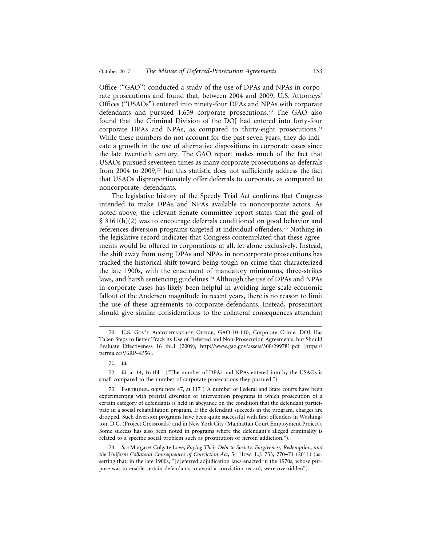Office ("GAO") conducted a study of the use of DPAs and NPAs in corporate prosecutions and found that, between 2004 and 2009, U.S. Attorneys' Offices ("USAOs") entered into ninety-four DPAs and NPAs with corporate defendants and pursued 1,659 corporate prosecutions.70 The GAO also found that the Criminal Division of the DOJ had entered into forty-four corporate DPAs and NPAs, as compared to thirty-eight prosecutions.<sup>71</sup> While these numbers do not account for the past seven years, they do indicate a growth in the use of alternative dispositions in corporate cases since the late twentieth century. The GAO report makes much of the fact that USAOs pursued seventeen times as many corporate prosecutions as deferrals from 2004 to 2009,72 but this statistic does not sufficiently address the fact that USAOs disproportionately offer deferrals to corporate, as compared to noncorporate, defendants.

The legislative history of the Speedy Trial Act confirms that Congress intended to make DPAs and NPAs available to noncorporate actors. As noted above, the relevant Senate committee report states that the goal of § 3161(h)(2) was to encourage deferrals conditioned on good behavior and references diversion programs targeted at individual offenders.73 Nothing in the legislative record indicates that Congress contemplated that these agreements would be offered to corporations at all, let alone exclusively. Instead, the shift away from using DPAs and NPAs in noncorporate prosecutions has tracked the historical shift toward being tough on crime that characterized the late 1900s, with the enactment of mandatory minimums, three-strikes laws, and harsh sentencing guidelines.<sup>74</sup> Although the use of DPAs and NPAs in corporate cases has likely been helpful in avoiding large-scale economic fallout of the Andersen magnitude in recent years, there is no reason to limit the use of these agreements to corporate defendants. Instead, prosecutors should give similar considerations to the collateral consequences attendant

<sup>70.</sup> U.S. Gov't Accountability Office, GAO-10-110, Corporate Crime: DOJ Has Taken Steps to Better Track its Use of Deferred and Non-Prosecution Agreements, but Should Evaluate Effectiveness 16 tbl.1 (2009), http://www.gao.gov/assets/300/299781.pdf [https:// perma.cc/V6RP-4P56].

<sup>71.</sup> *Id.*

<sup>72.</sup> *Id.* at 14, 16 tbl.1 ("The number of DPAs and NPAs entered into by the USAOs is small compared to the number of corporate prosecutions they pursued.").

<sup>73.</sup> Partridge, *supra* note 47, at 117 ("A number of Federal and State courts have been experimenting with pretrial diversion or intervention programs in which prosecution of a certain category of defendants is held in abeyance on the condition that the defendant participate in a social rehabilitation program. If the defendant succeeds in the program, charges are dropped. Such diversion programs have been quite successful with first offenders in Washington, D.C. (Project Crossroads) and in New York City (Manhattan Court Employment Project). Some success has also been noted in programs where the defendant's alleged criminality is related to a specific social problem such as prostitution or heroin addiction.").

<sup>74.</sup> *See* Margaret Colgate Love, *Paying Their Debt to Society: Forgiveness, Redemption, and the Uniform Collateral Consequences of Conviction Act*, 54 How. L.J. 753, 770–71 (2011) (asserting that, in the late 1900s, "[d]eferred adjudication laws enacted in the 1970s, whose purpose was to enable certain defendants to avoid a conviction record, were overridden").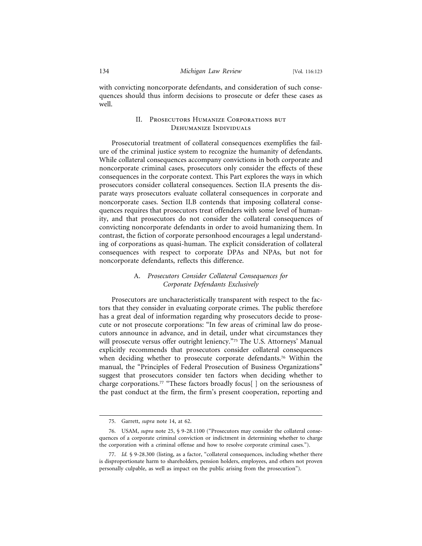with convicting noncorporate defendants, and consideration of such consequences should thus inform decisions to prosecute or defer these cases as well.

# II. Prosecutors Humanize Corporations but Dehumanize Individuals

Prosecutorial treatment of collateral consequences exemplifies the failure of the criminal justice system to recognize the humanity of defendants. While collateral consequences accompany convictions in both corporate and noncorporate criminal cases, prosecutors only consider the effects of these consequences in the corporate context. This Part explores the ways in which prosecutors consider collateral consequences. Section II.A presents the disparate ways prosecutors evaluate collateral consequences in corporate and noncorporate cases. Section II.B contends that imposing collateral consequences requires that prosecutors treat offenders with some level of humanity, and that prosecutors do not consider the collateral consequences of convicting noncorporate defendants in order to avoid humanizing them. In contrast, the fiction of corporate personhood encourages a legal understanding of corporations as quasi-human. The explicit consideration of collateral consequences with respect to corporate DPAs and NPAs, but not for noncorporate defendants, reflects this difference.

# A. *Prosecutors Consider Collateral Consequences for Corporate Defendants Exclusively*

Prosecutors are uncharacteristically transparent with respect to the factors that they consider in evaluating corporate crimes. The public therefore has a great deal of information regarding why prosecutors decide to prosecute or not prosecute corporations: "In few areas of criminal law do prosecutors announce in advance, and in detail, under what circumstances they will prosecute versus offer outright leniency."75 The U.S. Attorneys' Manual explicitly recommends that prosecutors consider collateral consequences when deciding whether to prosecute corporate defendants.<sup>76</sup> Within the manual, the "Principles of Federal Prosecution of Business Organizations" suggest that prosecutors consider ten factors when deciding whether to charge corporations.<sup>77</sup> "These factors broadly focus[] on the seriousness of the past conduct at the firm, the firm's present cooperation, reporting and

<sup>75.</sup> Garrett, *supra* note 14, at 62.

<sup>76.</sup> USAM, *supra* note 25, § 9-28.1100 ("Prosecutors may consider the collateral consequences of a corporate criminal conviction or indictment in determining whether to charge the corporation with a criminal offense and how to resolve corporate criminal cases.").

<sup>77.</sup> *Id.* § 9-28.300 (listing, as a factor, "collateral consequences, including whether there is disproportionate harm to shareholders, pension holders, employees, and others not proven personally culpable, as well as impact on the public arising from the prosecution").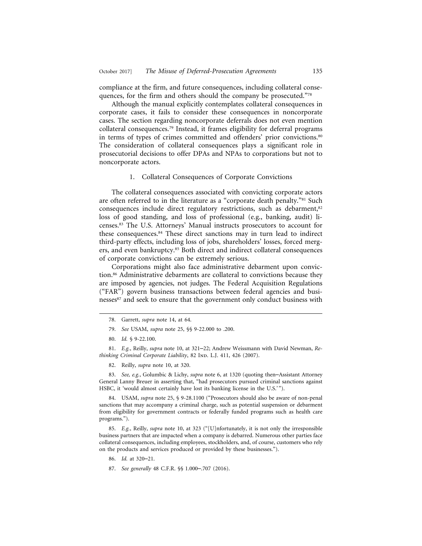compliance at the firm, and future consequences, including collateral consequences, for the firm and others should the company be prosecuted."78

Although the manual explicitly contemplates collateral consequences in corporate cases, it fails to consider these consequences in noncorporate cases. The section regarding noncorporate deferrals does not even mention collateral consequences.79 Instead, it frames eligibility for deferral programs in terms of types of crimes committed and offenders' prior convictions.<sup>80</sup> The consideration of collateral consequences plays a significant role in prosecutorial decisions to offer DPAs and NPAs to corporations but not to noncorporate actors.

#### 1. Collateral Consequences of Corporate Convictions

The collateral consequences associated with convicting corporate actors are often referred to in the literature as a "corporate death penalty."<sup>81</sup> Such consequences include direct regulatory restrictions, such as debarment,<sup>82</sup> loss of good standing, and loss of professional (e.g., banking, audit) licenses.83 The U.S. Attorneys' Manual instructs prosecutors to account for these consequences.<sup>84</sup> These direct sanctions may in turn lead to indirect third-party effects, including loss of jobs, shareholders' losses, forced mergers, and even bankruptcy.<sup>85</sup> Both direct and indirect collateral consequences of corporate convictions can be extremely serious.

Corporations might also face administrative debarment upon conviction.86 Administrative debarments are collateral to convictions because they are imposed by agencies, not judges. The Federal Acquisition Regulations ("FAR") govern business transactions between federal agencies and businesses<sup>87</sup> and seek to ensure that the government only conduct business with

79. *See* USAM, *supra* note 25, §§ 9-22.000 to .200.

81. *E.g.*, Reilly, *supra* note 10, at 321–22; Andrew Weissmann with David Newman, *Rethinking Criminal Corporate Liability*, 82 IND. L.J. 411, 426 (2007).

82. Reilly, *supra* note 10, at 320.

83. *See, e.g.*, Golumbic & Lichy, *supra* note 6, at 1320 (quoting then–Assistant Attorney General Lanny Breuer in asserting that, "had prosecutors pursued criminal sanctions against HSBC, it 'would almost certainly have lost its banking license in the U.S.'").

84. USAM, *supra* note 25, § 9-28.1100 ("Prosecutors should also be aware of non-penal sanctions that may accompany a criminal charge, such as potential suspension or debarment from eligibility for government contracts or federally funded programs such as health care programs.").

85. *E.g.*, Reilly, *supra* note 10, at 323 ("[U]nfortunately, it is not only the irresponsible business partners that are impacted when a company is debarred. Numerous other parties face collateral consequences, including employees, stockholders, and, of course, customers who rely on the products and services produced or provided by these businesses.").

86. *Id.* at 320–21.

<sup>78.</sup> Garrett, *supra* note 14, at 64.

<sup>80.</sup> *Id.* § 9-22.100.

<sup>87.</sup> *See generally* 48 C.F.R. §§ 1.000–.707 (2016).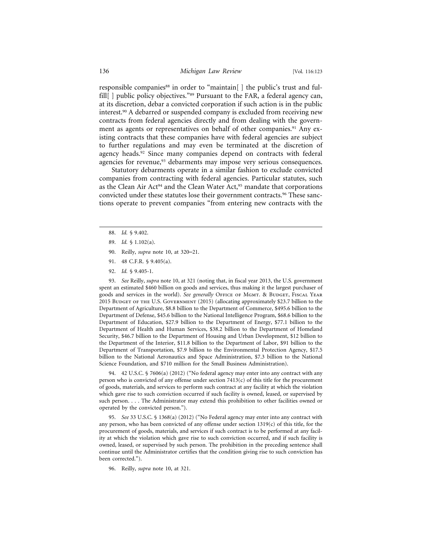responsible companies<sup>88</sup> in order to "maintain[] the public's trust and fulfill[] public policy objectives."<sup>89</sup> Pursuant to the FAR, a federal agency can, at its discretion, debar a convicted corporation if such action is in the public interest.90 A debarred or suspended company is excluded from receiving new contracts from federal agencies directly and from dealing with the government as agents or representatives on behalf of other companies.<sup>91</sup> Any existing contracts that these companies have with federal agencies are subject to further regulations and may even be terminated at the discretion of agency heads.<sup>92</sup> Since many companies depend on contracts with federal agencies for revenue,<sup>93</sup> debarments may impose very serious consequences.

Statutory debarments operate in a similar fashion to exclude convicted companies from contracting with federal agencies. Particular statutes, such as the Clean Air Act<sup>94</sup> and the Clean Water Act,<sup>95</sup> mandate that corporations convicted under these statutes lose their government contracts.<sup>96</sup> These sanctions operate to prevent companies "from entering new contracts with the

88. *Id.* § 9.402.

- 90. Reilly, *supra* note 10, at 320–21.
- 91. 48 C.F.R. § 9.405(a).
- 92. *Id.* § 9.405-1.

93. *See* Reilly, *supra* note 10, at 321 (noting that, in fiscal year 2013, the U.S. government spent an estimated \$460 billion on goods and services, thus making it the largest purchaser of goods and services in the world). *See generally* OFFICE OF MGMT. & BUDGET, FISCAL YEAR 2015 Budget of the U.S. Government (2015) (allocating approximately \$23.7 billion to the Department of Agriculture, \$8.8 billion to the Department of Commerce, \$495.6 billion to the Department of Defense, \$45.6 billion to the National Intelligence Program, \$68.6 billion to the Department of Education, \$27.9 billion to the Department of Energy, \$77.1 billion to the Department of Health and Human Services, \$38.2 billion to the Department of Homeland Security, \$46.7 billion to the Department of Housing and Urban Development, \$12 billion to the Department of the Interior, \$11.8 billion to the Department of Labor, \$91 billion to the Department of Transportation, \$7.9 billion to the Environmental Protection Agency, \$17.5 billion to the National Aeronautics and Space Administration, \$7.3 billion to the National Science Foundation, and \$710 million for the Small Business Administration).

94. 42 U.S.C. § 7606(a) (2012) ("No federal agency may enter into any contract with any person who is convicted of any offense under section  $7413(c)$  of this title for the procurement of goods, materials, and services to perform such contract at any facility at which the violation which gave rise to such conviction occurred if such facility is owned, leased, or supervised by such person. . . . The Administrator may extend this prohibition to other facilities owned or operated by the convicted person.").

95. *See* 33 U.S.C. § 1368(a) (2012) ("No Federal agency may enter into any contract with any person, who has been convicted of any offense under section  $1319(c)$  of this title, for the procurement of goods, materials, and services if such contract is to be performed at any facility at which the violation which gave rise to such conviction occurred, and if such facility is owned, leased, or supervised by such person. The prohibition in the preceding sentence shall continue until the Administrator certifies that the condition giving rise to such conviction has been corrected.").

96. Reilly, *supra* note 10, at 321.

<sup>89.</sup> *Id.* § 1.102(a).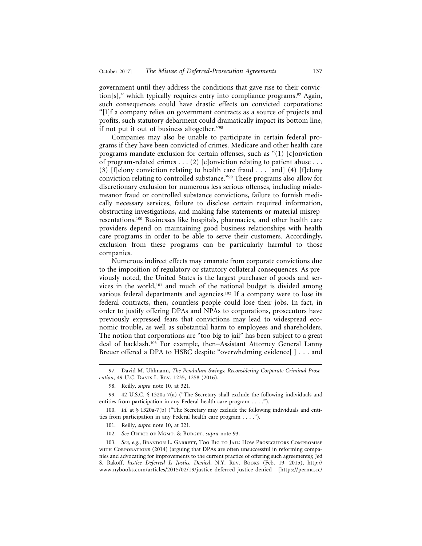government until they address the conditions that gave rise to their conviction[s]," which typically requires entry into compliance programs.<sup>97</sup> Again, such consequences could have drastic effects on convicted corporations: "[I]f a company relies on government contracts as a source of projects and profits, such statutory debarment could dramatically impact its bottom line, if not put it out of business altogether."98

Companies may also be unable to participate in certain federal programs if they have been convicted of crimes. Medicare and other health care programs mandate exclusion for certain offenses, such as "(1) [c]onviction of program-related crimes . . . (2) [c]onviction relating to patient abuse . . . (3) [f]elony conviction relating to health care fraud . . . [and] (4) [f]elony conviction relating to controlled substance."99 These programs also allow for discretionary exclusion for numerous less serious offenses, including misdemeanor fraud or controlled substance convictions, failure to furnish medically necessary services, failure to disclose certain required information, obstructing investigations, and making false statements or material misrepresentations.100 Businesses like hospitals, pharmacies, and other health care providers depend on maintaining good business relationships with health care programs in order to be able to serve their customers. Accordingly, exclusion from these programs can be particularly harmful to those companies.

Numerous indirect effects may emanate from corporate convictions due to the imposition of regulatory or statutory collateral consequences. As previously noted, the United States is the largest purchaser of goods and services in the world,<sup>101</sup> and much of the national budget is divided among various federal departments and agencies.<sup>102</sup> If a company were to lose its federal contracts, then, countless people could lose their jobs. In fact, in order to justify offering DPAs and NPAs to corporations, prosecutors have previously expressed fears that convictions may lead to widespread economic trouble, as well as substantial harm to employees and shareholders. The notion that corporations are "too big to jail" has been subject to a great deal of backlash.103 For example, then–Assistant Attorney General Lanny Breuer offered a DPA to HSBC despite "overwhelming evidence[ ] . . . and

<sup>97.</sup> David M. Uhlmann, *The Pendulum Swings: Reconsidering Corporate Criminal Prosecution*, 49 U.C. Davis L. Rev. 1235, 1258 (2016).

<sup>98.</sup> Reilly, *supra* note 10, at 321.

<sup>99. 42</sup> U.S.C. § 1320a-7(a) ("The Secretary shall exclude the following individuals and entities from participation in any Federal health care program . . . .").

<sup>100.</sup> *Id.* at § 1320a-7(b) ("The Secretary may exclude the following individuals and entities from participation in any Federal health care program . . . .").

<sup>101.</sup> Reilly, *supra* note 10, at 321.

<sup>102.</sup> See OFFICE OF MGMT. & BUDGET, *supra* note 93.

<sup>103.</sup> See, e.g., BRANDON L. GARRETT, TOO BIG TO JAIL: HOW PROSECUTORS COMPROMISE with Corporations (2014) (arguing that DPAs are often unsuccessful in reforming companies and advocating for improvements to the current practice of offering such agreements); Jed S. Rakoff, *Justice Deferred Is Justice Denied*, N.Y. Rev. Books (Feb. 19, 2015), http:// www.nybooks.com/articles/2015/02/19/justice-deferred-justice-denied [https://perma.cc/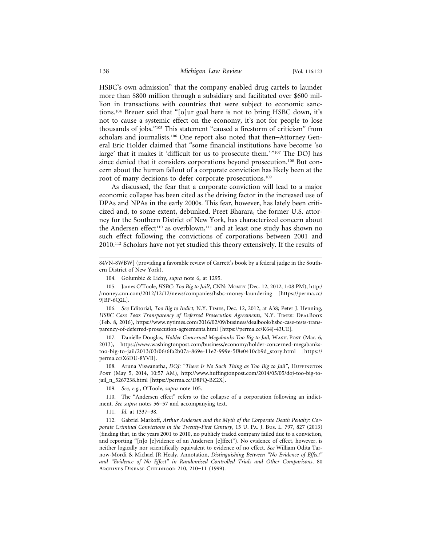HSBC's own admission" that the company enabled drug cartels to launder more than \$800 million through a subsidiary and facilitated over \$600 million in transactions with countries that were subject to economic sanctions.104 Breuer said that "[o]ur goal here is not to bring HSBC down, it's not to cause a systemic effect on the economy, it's not for people to lose thousands of jobs."105 This statement "caused a firestorm of criticism" from scholars and journalists.<sup>106</sup> One report also noted that then–Attorney General Eric Holder claimed that "some financial institutions have become 'so large' that it makes it 'difficult for us to prosecute them.'"<sup>107</sup> The DOJ has since denied that it considers corporations beyond prosecution.<sup>108</sup> But concern about the human fallout of a corporate conviction has likely been at the root of many decisions to defer corporate prosecutions.<sup>109</sup>

As discussed, the fear that a corporate conviction will lead to a major economic collapse has been cited as the driving factor in the increased use of DPAs and NPAs in the early 2000s. This fear, however, has lately been criticized and, to some extent, debunked. Preet Bharara, the former U.S. attorney for the Southern District of New York, has characterized concern about the Andersen effect<sup>110</sup> as overblown,<sup>111</sup> and at least one study has shown no such effect following the convictions of corporations between 2001 and 2010.112 Scholars have not yet studied this theory extensively. If the results of

106. *See* Editorial, *Too Big to Indict*, N.Y. Times, Dec. 12, 2012, at A38; Peter J. Henning, HSBC Case Tests Transparency of Deferred Prosecution Agreements, N.Y. TIMES: DEALBOOK (Feb. 8, 2016), https://www.nytimes.com/2016/02/09/business/dealbook/hsbc-case-tests-transparency-of-deferred-prosecution-agreements.html [https://perma.cc/K64J-43UE].

107. Danielle Douglas, *Holder Concerned Megabanks Too Big to Jail*, WASH. POST (Mar. 6, 2013), https://www.washingtonpost.com/business/economy/holder-concerned-megabankstoo-big-to-jail/2013/03/06/6fa2b07a-869e-11e2-999e-5f8e0410cb9d\_story.html [https:// perma.cc/X6DU-8YVB].

108. Aruna Viswanatha, *DOJ: "There Is No Such Thing as Too Big to Jail"*, HUFFINGTON Post (May 5, 2014, 10:57 AM), http://www.huffingtonpost.com/2014/05/05/doj-too-big-tojail\_n\_5267238.html [https://perma.cc/D8PQ-BZ2X].

109. *See, e.g.*, O'Toole, *supra* note 105.

110. The "Andersen effect" refers to the collapse of a corporation following an indictment. *See supra* notes 56–57 and accompanying text.

111. *Id.* at 1337–38.

112. Gabriel Markoff, *Arthur Andersen and the Myth of the Corporate Death Penalty: Corporate Criminal Convictions in the Twenty-First Century*, 15 U. Pa. J. Bus. L. 797, 827 (2013) (finding that, in the years 2001 to 2010, no publicly traded company failed due to a conviction, and reporting "[n]o [e]vidence of an Andersen [e]ffect"). No evidence of effect, however, is neither logically nor scientifically equivalent to evidence of no effect. *See* William Odita Tarnow-Mordi & Michael JR Healy, Annotation, *Distinguishing Between "No Evidence of Effect" and "Evidence of No Effect" in Randomised Controlled Trials and Other Comparisons*, 80 Archives Disease Childhood 210, 210–11 (1999).

<sup>84</sup>VN-8WBW] (providing a favorable review of Garrett's book by a federal judge in the Southern District of New York).

<sup>104.</sup> Golumbic & Lichy, *supra* note 6, at 1295.

<sup>105.</sup> James O'Toole, *HSBC: Too Big to Jail?*, CNN: Money (Dec. 12, 2012, 1:08 PM), http:/ /money.cnn.com/2012/12/12/news/companies/hsbc-money-laundering [https://perma.cc/ 9JBP-6Q2L].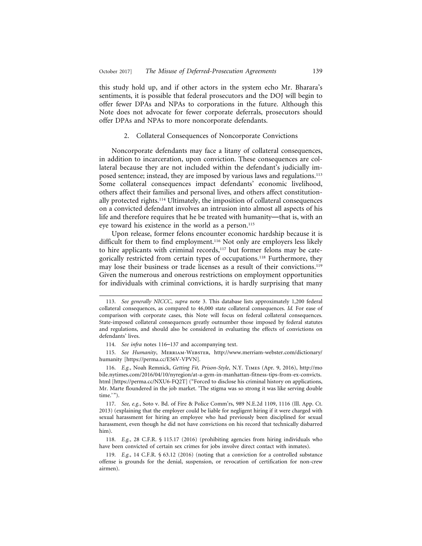this study hold up, and if other actors in the system echo Mr. Bharara's sentiments, it is possible that federal prosecutors and the DOJ will begin to offer fewer DPAs and NPAs to corporations in the future. Although this Note does not advocate for fewer corporate deferrals, prosecutors should offer DPAs and NPAs to more noncorporate defendants.

#### 2. Collateral Consequences of Noncorporate Convictions

Noncorporate defendants may face a litany of collateral consequences, in addition to incarceration, upon conviction. These consequences are collateral because they are not included within the defendant's judicially imposed sentence; instead, they are imposed by various laws and regulations.113 Some collateral consequences impact defendants' economic livelihood, others affect their families and personal lives, and others affect constitutionally protected rights.114 Ultimately, the imposition of collateral consequences on a convicted defendant involves an intrusion into almost all aspects of his life and therefore requires that he be treated with humanity—that is, with an eye toward his existence in the world as a person.115

Upon release, former felons encounter economic hardship because it is difficult for them to find employment.<sup>116</sup> Not only are employers less likely to hire applicants with criminal records,<sup>117</sup> but former felons may be categorically restricted from certain types of occupations.<sup>118</sup> Furthermore, they may lose their business or trade licenses as a result of their convictions.119 Given the numerous and onerous restrictions on employment opportunities for individuals with criminal convictions, it is hardly surprising that many

115. *See Humanity*, Merriam-Webster, http://www.merriam-webster.com/dictionary/ humanity [https://perma.cc/E56V-VPVN].

116. *E.g.*, Noah Remnick, *Getting Fit, Prison-Style*, N.Y. Times (Apr. 9, 2016), http://mo bile.nytimes.com/2016/04/10/nyregion/at-a-gym-in-manhattan-fitness-tips-from-ex-convicts. html [https://perma.cc/NXU6-FQ2T] ("Forced to disclose his criminal history on applications, Mr. Marte floundered in the job market. 'The stigma was so strong it was like serving double time.'").

117. *See, e.g.*, Soto v. Bd. of Fire & Police Comm'rs, 989 N.E.2d 1109, 1116 (Ill. App. Ct. 2013) (explaining that the employer could be liable for negligent hiring if it were charged with sexual harassment for hiring an employee who had previously been disciplined for sexual harassment, even though he did not have convictions on his record that technically disbarred him).

118. *E.g.*, 28 C.F.R. § 115.17 (2016) (prohibiting agencies from hiring individuals who have been convicted of certain sex crimes for jobs involve direct contact with inmates).

119. *E.g.*, 14 C.F.R. § 63.12 (2016) (noting that a conviction for a controlled substance offense is grounds for the denial, suspension, or revocation of certification for non-crew airmen).

<sup>113.</sup> *See generally NICCC*, *supra* note 3. This database lists approximately 1,200 federal collateral consequences, as compared to 46,000 state collateral consequences. *Id.* For ease of comparison with corporate cases, this Note will focus on federal collateral consequences. State-imposed collateral consequences greatly outnumber those imposed by federal statutes and regulations, and should also be considered in evaluating the effects of convictions on defendants' lives.

<sup>114.</sup> *See infra* notes 116–137 and accompanying text.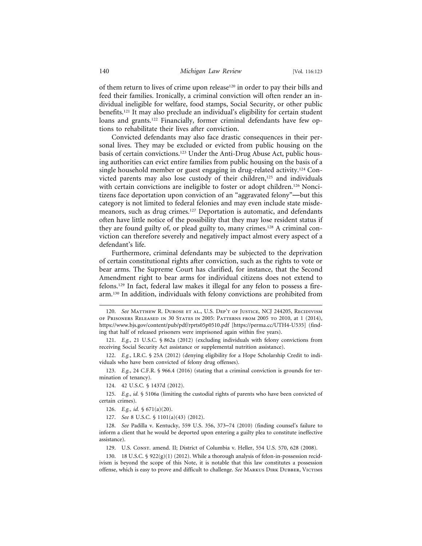of them return to lives of crime upon release<sup>120</sup> in order to pay their bills and feed their families. Ironically, a criminal conviction will often render an individual ineligible for welfare, food stamps, Social Security, or other public benefits.121 It may also preclude an individual's eligibility for certain student loans and grants.<sup>122</sup> Financially, former criminal defendants have few options to rehabilitate their lives after conviction.

Convicted defendants may also face drastic consequences in their personal lives. They may be excluded or evicted from public housing on the basis of certain convictions.123 Under the Anti-Drug Abuse Act, public housing authorities can evict entire families from public housing on the basis of a single household member or guest engaging in drug-related activity.124 Convicted parents may also lose custody of their children,<sup>125</sup> and individuals with certain convictions are ineligible to foster or adopt children.<sup>126</sup> Noncitizens face deportation upon conviction of an "aggravated felony"—but this category is not limited to federal felonies and may even include state misdemeanors, such as drug crimes.127 Deportation is automatic, and defendants often have little notice of the possibility that they may lose resident status if they are found guilty of, or plead guilty to, many crimes.<sup>128</sup> A criminal conviction can therefore severely and negatively impact almost every aspect of a defendant's life.

Furthermore, criminal defendants may be subjected to the deprivation of certain constitutional rights after conviction, such as the rights to vote or bear arms. The Supreme Court has clarified, for instance, that the Second Amendment right to bear arms for individual citizens does not extend to felons.129 In fact, federal law makes it illegal for any felon to possess a firearm.130 In addition, individuals with felony convictions are prohibited from

123. *E.g.*, 24 C.F.R. § 966.4 (2016) (stating that a criminal conviction is grounds for termination of tenancy).

124. 42 U.S.C. § 1437d (2012).

125. *E.g.*, *id.* § 5106a (limiting the custodial rights of parents who have been convicted of certain crimes).

127. *See* 8 U.S.C. § 1101(a)(43) (2012).

129. U.S. Const. amend. II; District of Columbia v. Heller, 554 U.S. 570, 628 (2008).

130. 18 U.S.C. § 922(g)(1) (2012). While a thorough analysis of felon-in-possession recidivism is beyond the scope of this Note, it is notable that this law constitutes a possession offense, which is easy to prove and difficult to challenge. *See* Markus Dirk Dubber, Victims

<sup>120.</sup> *See* Matthew R. Durose et al., U.S. Dep't of Justice, NCJ 244205, Recidivism of Prisoners Released in 30 States in 2005: Patterns from 2005 to 2010, at 1 (2014), https://www.bjs.gov/content/pub/pdf/rprts05p0510.pdf [https://perma.cc/UTH4-U535] (finding that half of released prisoners were imprisoned again within five years).

<sup>121.</sup> *E.g.*, 21 U.S.C. § 862a (2012) (excluding individuals with felony convictions from receiving Social Security Act assistance or supplemental nutrition assistance).

<sup>122.</sup> *E.g.*, I.R.C. § 25A (2012) (denying eligibility for a Hope Scholarship Credit to individuals who have been convicted of felony drug offenses).

<sup>126.</sup> *E.g.*, *id.* § 671(a)(20).

<sup>128.</sup> *See* Padilla v. Kentucky, 559 U.S. 356, 373–74 (2010) (finding counsel's failure to inform a client that he would be deported upon entering a guilty plea to constitute ineffective assistance).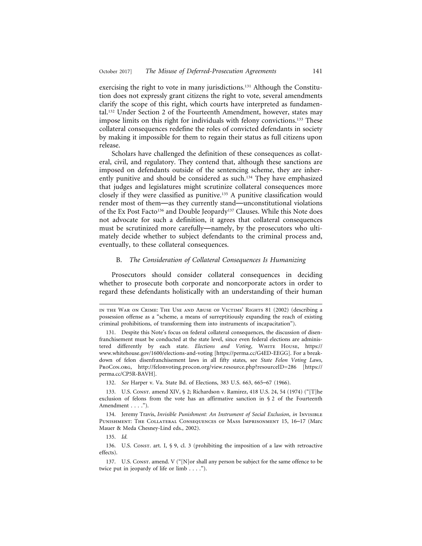exercising the right to vote in many jurisdictions.<sup>131</sup> Although the Constitution does not expressly grant citizens the right to vote, several amendments clarify the scope of this right, which courts have interpreted as fundamental.132 Under Section 2 of the Fourteenth Amendment, however, states may impose limits on this right for individuals with felony convictions.<sup>133</sup> These collateral consequences redefine the roles of convicted defendants in society by making it impossible for them to regain their status as full citizens upon release.

Scholars have challenged the definition of these consequences as collateral, civil, and regulatory. They contend that, although these sanctions are imposed on defendants outside of the sentencing scheme, they are inherently punitive and should be considered as such.<sup>134</sup> They have emphasized that judges and legislatures might scrutinize collateral consequences more closely if they were classified as punitive.135 A punitive classification would render most of them—as they currently stand—unconstitutional violations of the Ex Post Facto<sup>136</sup> and Double Jeopardy<sup>137</sup> Clauses. While this Note does not advocate for such a definition, it agrees that collateral consequences must be scrutinized more carefully—namely, by the prosecutors who ultimately decide whether to subject defendants to the criminal process and, eventually, to these collateral consequences.

#### B. *The Consideration of Collateral Consequences Is Humanizing*

Prosecutors should consider collateral consequences in deciding whether to prosecute both corporate and noncorporate actors in order to regard these defendants holistically with an understanding of their human

in the War on Crime: The Use and Abuse of Victims' Rights 81 (2002) (describing a possession offense as a "scheme, a means of surreptitiously expanding the reach of existing criminal prohibitions, of transforming them into instruments of incapacitation").

<sup>131.</sup> Despite this Note's focus on federal collateral consequences, the discussion of disenfranchisement must be conducted at the state level, since even federal elections are administered differently by each state. *Elections and Voting*, WHITE HOUSE, https:// www.whitehouse.gov/1600/elections-and-voting [https://perma.cc/G4ED-EEGG]. For a breakdown of felon disenfranchisement laws in all fifty states, see *State Felon Voting Laws*, ProCon.org, http://felonvoting.procon.org/view.resource.php?resourceID=286 [https:// perma.cc/CP5R-BAVH].

<sup>132.</sup> *See* Harper v. Va. State Bd. of Elections, 383 U.S. 663, 665–67 (1966).

<sup>133.</sup> U.S. Const. amend XIV, § 2; Richardson v. Ramirez, 418 U.S. 24, 54 (1974) ("[T]he exclusion of felons from the vote has an affirmative sanction in § 2 of the Fourteenth Amendment . . . .").

<sup>134.</sup> Jeremy Travis, *Invisible Punishment: An Instrument of Social Exclusion*, *in* Invisible Punishment: The Collateral Consequences of Mass Imprisonment 15, 16–17 (Marc Mauer & Meda Chesney-Lind eds., 2002).

<sup>135.</sup> *Id.*

<sup>136.</sup> U.S. Consr. art. I, § 9, cl. 3 (prohibiting the imposition of a law with retroactive effects).

<sup>137.</sup> U.S. Const. amend. V ("[N]or shall any person be subject for the same offence to be twice put in jeopardy of life or limb . . . .").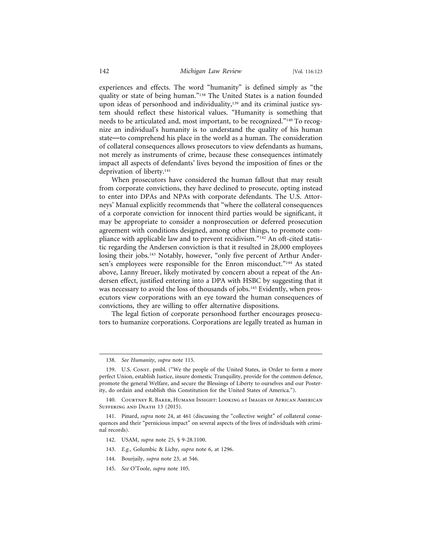experiences and effects. The word "humanity" is defined simply as "the quality or state of being human."<sup>138</sup> The United States is a nation founded upon ideas of personhood and individuality,<sup>139</sup> and its criminal justice system should reflect these historical values. "Humanity is something that needs to be articulated and, most important, to be recognized."140 To recognize an individual's humanity is to understand the quality of his human state—to comprehend his place in the world as a human. The consideration of collateral consequences allows prosecutors to view defendants as humans, not merely as instruments of crime, because these consequences intimately impact all aspects of defendants' lives beyond the imposition of fines or the deprivation of liberty.<sup>141</sup>

When prosecutors have considered the human fallout that may result from corporate convictions, they have declined to prosecute, opting instead to enter into DPAs and NPAs with corporate defendants. The U.S. Attorneys' Manual explicitly recommends that "where the collateral consequences of a corporate conviction for innocent third parties would be significant, it may be appropriate to consider a nonprosecution or deferred prosecution agreement with conditions designed, among other things, to promote compliance with applicable law and to prevent recidivism."<sup>142</sup> An oft-cited statistic regarding the Andersen conviction is that it resulted in 28,000 employees losing their jobs.<sup>143</sup> Notably, however, "only five percent of Arthur Andersen's employees were responsible for the Enron misconduct."<sup>144</sup> As stated above, Lanny Breuer, likely motivated by concern about a repeat of the Andersen effect, justified entering into a DPA with HSBC by suggesting that it was necessary to avoid the loss of thousands of jobs.145 Evidently, when prosecutors view corporations with an eye toward the human consequences of convictions, they are willing to offer alternative dispositions.

The legal fiction of corporate personhood further encourages prosecutors to humanize corporations. Corporations are legally treated as human in

- 142. USAM, *supra* note 25, § 9-28.1100.
- 143. *E.g.*, Golumbic & Lichy, *supra* note 6, at 1296.
- 144. Bourjaily, *supra* note 23, at 546.
- 145. *See* O'Toole, *supra* note 105.

<sup>138.</sup> *See Humanity*, *supra* note 115.

<sup>139.</sup> U.S. Const. pmbl. ("We the people of the United States, in Order to form a more perfect Union, establish Justice, insure domestic Tranquility, provide for the common defence, promote the general Welfare, and secure the Blessings of Liberty to ourselves and our Posterity, do ordain and establish this Constitution for the United States of America.").

<sup>140.</sup> Courtney R. Baker, Humane Insight: Looking at Images of African American SUFFERING AND DEATH 13 (2015).

<sup>141.</sup> Pinard, *supra* note 24, at 461 (discussing the "collective weight" of collateral consequences and their "pernicious impact" on several aspects of the lives of individuals with criminal records).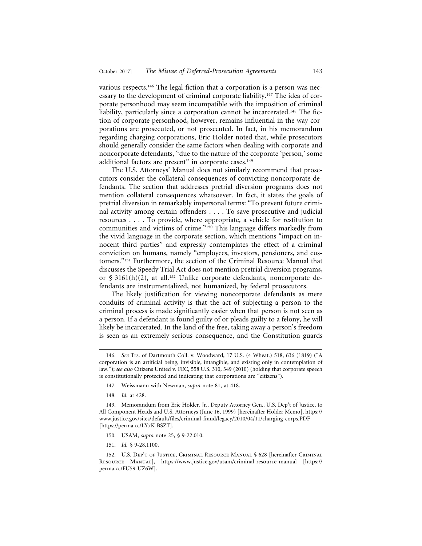various respects.<sup>146</sup> The legal fiction that a corporation is a person was necessary to the development of criminal corporate liability.147 The idea of corporate personhood may seem incompatible with the imposition of criminal liability, particularly since a corporation cannot be incarcerated.<sup>148</sup> The fiction of corporate personhood, however, remains influential in the way corporations are prosecuted, or not prosecuted. In fact, in his memorandum regarding charging corporations, Eric Holder noted that, while prosecutors should generally consider the same factors when dealing with corporate and noncorporate defendants, "due to the nature of the corporate 'person,' some additional factors are present" in corporate cases.<sup>149</sup>

The U.S. Attorneys' Manual does not similarly recommend that prosecutors consider the collateral consequences of convicting noncorporate defendants. The section that addresses pretrial diversion programs does not mention collateral consequences whatsoever. In fact, it states the goals of pretrial diversion in remarkably impersonal terms: "To prevent future criminal activity among certain offenders . . . . To save prosecutive and judicial resources . . . . To provide, where appropriate, a vehicle for restitution to communities and victims of crime."150 This language differs markedly from the vivid language in the corporate section, which mentions "impact on innocent third parties" and expressly contemplates the effect of a criminal conviction on humans, namely "employees, investors, pensioners, and customers."151 Furthermore, the section of the Criminal Resource Manual that discusses the Speedy Trial Act does not mention pretrial diversion programs, or  $\S$  3161(h)(2), at all.<sup>152</sup> Unlike corporate defendants, noncorporate defendants are instrumentalized, not humanized, by federal prosecutors.

The likely justification for viewing noncorporate defendants as mere conduits of criminal activity is that the act of subjecting a person to the criminal process is made significantly easier when that person is not seen as a person. If a defendant is found guilty of or pleads guilty to a felony, he will likely be incarcerated. In the land of the free, taking away a person's freedom is seen as an extremely serious consequence, and the Constitution guards

- 147. Weissmann with Newman, *supra* note 81, at 418.
- 148. *Id.* at 428.

- 150. USAM, *supra* note 25, § 9-22.010.
- 151. *Id.* § 9-28.1100.

<sup>146.</sup> *See* Trs. of Dartmouth Coll. v. Woodward, 17 U.S. (4 Wheat.) 518, 636 (1819) ("A corporation is an artificial being, invisible, intangible, and existing only in contemplation of law."); *see also* Citizens United v. FEC, 558 U.S. 310, 349 (2010) (holding that corporate speech is constitutionally protected and indicating that corporations are "citizens").

<sup>149.</sup> Memorandum from Eric Holder, Jr., Deputy Attorney Gen., U.S. Dep't of Justice, to All Component Heads and U.S. Attorneys (June 16, 1999) [hereinafter Holder Memo], https:// www.justice.gov/sites/default/files/criminal-fraud/legacy/2010/04/11/charging-corps.PDF [https://perma.cc/LY7K-BSZT].

<sup>152.</sup> U.S. Dep't of Justice, Criminal Resource Manual § 628 [hereinafter Criminal Resource Manual], https://www.justice.gov/usam/criminal-resource-manual [https:// perma.cc/FU59-UZ6W].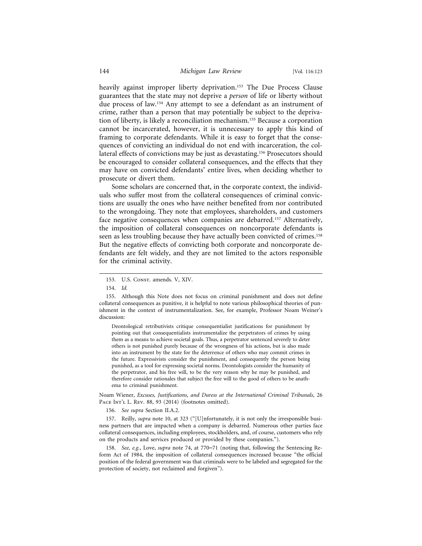heavily against improper liberty deprivation.<sup>153</sup> The Due Process Clause guarantees that the state may not deprive a *person* of life or liberty without due process of law.154 Any attempt to see a defendant as an instrument of crime, rather than a person that may potentially be subject to the deprivation of liberty, is likely a reconciliation mechanism.155 Because a corporation cannot be incarcerated, however, it is unnecessary to apply this kind of framing to corporate defendants. While it is easy to forget that the consequences of convicting an individual do not end with incarceration, the collateral effects of convictions may be just as devastating.156 Prosecutors should be encouraged to consider collateral consequences, and the effects that they may have on convicted defendants' entire lives, when deciding whether to prosecute or divert them.

Some scholars are concerned that, in the corporate context, the individuals who suffer most from the collateral consequences of criminal convictions are usually the ones who have neither benefited from nor contributed to the wrongdoing. They note that employees, shareholders, and customers face negative consequences when companies are debarred.<sup>157</sup> Alternatively, the imposition of collateral consequences on noncorporate defendants is seen as less troubling because they have actually been convicted of crimes.158 But the negative effects of convicting both corporate and noncorporate defendants are felt widely, and they are not limited to the actors responsible for the criminal activity.

Deontological retributivists critique consequentialist justifications for punishment by pointing out that consequentialists instrumentalize the perpetrators of crimes by using them as a means to achieve societal goals. Thus, a perpetrator sentenced severely to deter others is not punished purely because of the wrongness of his actions, but is also made into an instrument by the state for the deterrence of others who may commit crimes in the future. Expressivists consider the punishment, and consequently the person being punished, as a tool for expressing societal norms. Deontologists consider the humanity of the perpetrator, and his free will, to be the very reason why he may be punished, and therefore consider rationales that subject the free will to the good of others to be anathema to criminal punishment.

Noam Wiener, *Excuses, Justifications, and Duress at the International Criminal Tribunals*, 26 PACE INT'L L. REV. 88, 93 (2014) (footnotes omitted).

156. *See supra* Section II.A.2.

157. Reilly, *supra* note 10, at 323 ("[U]nfortunately, it is not only the irresponsible business partners that are impacted when a company is debarred. Numerous other parties face collateral consequences, including employees, stockholders, and, of course, customers who rely on the products and services produced or provided by these companies.").

158. *See, e.g.*, Love, *supra* note 74, at 770–71 (noting that, following the Sentencing Reform Act of 1984, the imposition of collateral consequences increased because "the official position of the federal government was that criminals were to be labeled and segregated for the protection of society, not reclaimed and forgiven").

<sup>153.</sup> U.S. Const. amends. V, XIV.

<sup>154.</sup> *Id.*

<sup>155.</sup> Although this Note does not focus on criminal punishment and does not define collateral consequences as punitive, it is helpful to note various philosophical theories of punishment in the context of instrumentalization. See, for example, Professor Noam Weiner's discussion: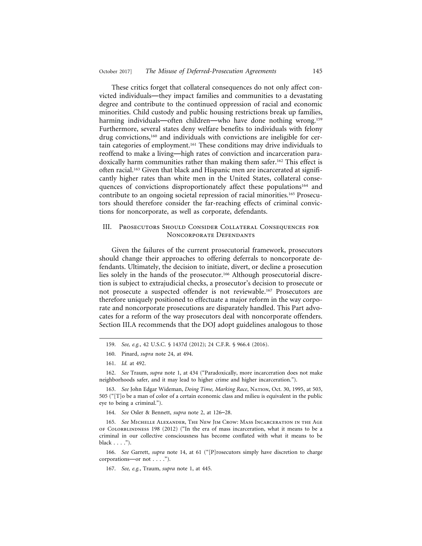These critics forget that collateral consequences do not only affect convicted individuals—they impact families and communities to a devastating degree and contribute to the continued oppression of racial and economic minorities. Child custody and public housing restrictions break up families, harming individuals—often children—who have done nothing wrong.<sup>159</sup> Furthermore, several states deny welfare benefits to individuals with felony drug convictions,<sup>160</sup> and individuals with convictions are ineligible for certain categories of employment.<sup>161</sup> These conditions may drive individuals to reoffend to make a living—high rates of conviction and incarceration paradoxically harm communities rather than making them safer.<sup>162</sup> This effect is often racial.<sup>163</sup> Given that black and Hispanic men are incarcerated at significantly higher rates than white men in the United States, collateral consequences of convictions disproportionately affect these populations<sup>164</sup> and contribute to an ongoing societal repression of racial minorities.165 Prosecutors should therefore consider the far-reaching effects of criminal convictions for noncorporate, as well as corporate, defendants.

## III. Prosecutors Should Consider Collateral Consequences for Noncorporate Defendants

Given the failures of the current prosecutorial framework, prosecutors should change their approaches to offering deferrals to noncorporate defendants. Ultimately, the decision to initiate, divert, or decline a prosecution lies solely in the hands of the prosecutor.166 Although prosecutorial discretion is subject to extrajudicial checks, a prosecutor's decision to prosecute or not prosecute a suspected offender is not reviewable.167 Prosecutors are therefore uniquely positioned to effectuate a major reform in the way corporate and noncorporate prosecutions are disparately handled. This Part advocates for a reform of the way prosecutors deal with noncorporate offenders. Section III.A recommends that the DOJ adopt guidelines analogous to those

<sup>159.</sup> *See, e.g.*, 42 U.S.C. § 1437d (2012); 24 C.F.R. § 966.4 (2016).

<sup>160.</sup> Pinard, *supra* note 24, at 494.

<sup>161.</sup> *Id.* at 492.

<sup>162.</sup> *See* Traum, *supra* note 1, at 434 ("Paradoxically, more incarceration does not make neighborhoods safer, and it may lead to higher crime and higher incarceration.").

<sup>163.</sup> See John Edgar Wideman, *Doing Time, Marking Race*, NATION, Oct. 30, 1995, at 503, 505 ("[T]o be a man of color of a certain economic class and milieu is equivalent in the public eye to being a criminal.").

<sup>164.</sup> *See* Osler & Bennett, *supra* note 2, at 126–28.

<sup>165.</sup> *See* Michelle Alexander, The New Jim Crow: Mass Incarceration in the Age of Colorallindness 198 (2012) ("In the era of mass incarceration, what it means to be a criminal in our collective consciousness has become conflated with what it means to be black . . . .").

<sup>166.</sup> *See* Garrett, *supra* note 14, at 61 ("[P]rosecutors simply have discretion to charge corporations—or not . . . .").

<sup>167.</sup> *See, e.g.*, Traum, *supra* note 1, at 445.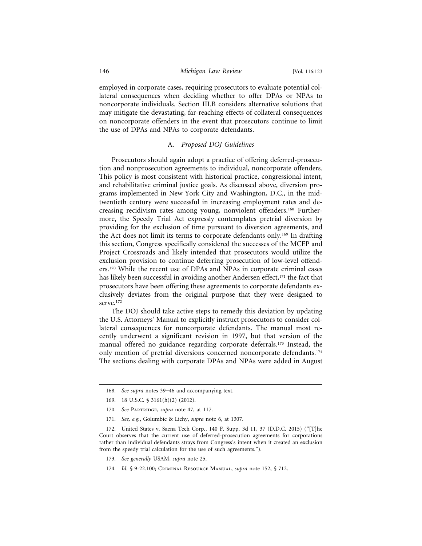#### 146 *Michigan Law Review* [Vol. 116:123

employed in corporate cases, requiring prosecutors to evaluate potential collateral consequences when deciding whether to offer DPAs or NPAs to noncorporate individuals. Section III.B considers alternative solutions that may mitigate the devastating, far-reaching effects of collateral consequences on noncorporate offenders in the event that prosecutors continue to limit the use of DPAs and NPAs to corporate defendants.

### A. *Proposed DOJ Guidelines*

Prosecutors should again adopt a practice of offering deferred-prosecution and nonprosecution agreements to individual, noncorporate offenders. This policy is most consistent with historical practice, congressional intent, and rehabilitative criminal justice goals. As discussed above, diversion programs implemented in New York City and Washington, D.C., in the midtwentieth century were successful in increasing employment rates and decreasing recidivism rates among young, nonviolent offenders.168 Furthermore, the Speedy Trial Act expressly contemplates pretrial diversion by providing for the exclusion of time pursuant to diversion agreements, and the Act does not limit its terms to corporate defendants only.<sup>169</sup> In drafting this section, Congress specifically considered the successes of the MCEP and Project Crossroads and likely intended that prosecutors would utilize the exclusion provision to continue deferring prosecution of low-level offenders.170 While the recent use of DPAs and NPAs in corporate criminal cases has likely been successful in avoiding another Andersen effect,<sup>171</sup> the fact that prosecutors have been offering these agreements to corporate defendants exclusively deviates from the original purpose that they were designed to serve.<sup>172</sup>

The DOJ should take active steps to remedy this deviation by updating the U.S. Attorneys' Manual to explicitly instruct prosecutors to consider collateral consequences for noncorporate defendants. The manual most recently underwent a significant revision in 1997, but that version of the manual offered no guidance regarding corporate deferrals.<sup>173</sup> Instead, the only mention of pretrial diversions concerned noncorporate defendants.<sup>174</sup> The sections dealing with corporate DPAs and NPAs were added in August

- 173. *See generally* USAM, *supra* note 25.
- 174. *Id.* § 9-22.100; Criminal Resource Manual, *supra* note 152, § 712.

<sup>168.</sup> *See supra* notes 39–46 and accompanying text.

<sup>169. 18</sup> U.S.C. § 3161(h)(2) (2012).

<sup>170.</sup> See PARTRIDGE, *supra* note 47, at 117.

<sup>171.</sup> *See, e.g.*, Golumbic & Lichy, *supra* note 6, at 1307.

<sup>172.</sup> United States v. Saena Tech Corp., 140 F. Supp. 3d 11, 37 (D.D.C. 2015) ("[T]he Court observes that the current use of deferred-prosecution agreements for corporations rather than individual defendants strays from Congress's intent when it created an exclusion from the speedy trial calculation for the use of such agreements.").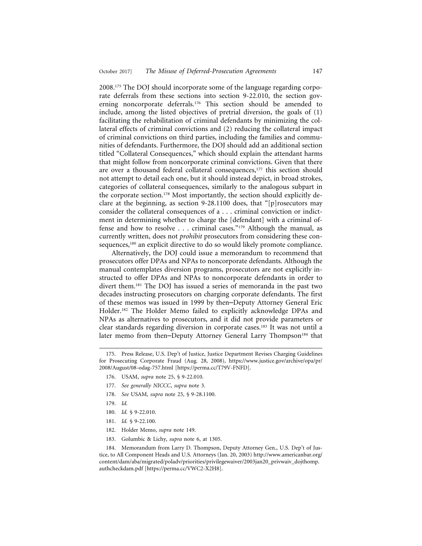2008.175 The DOJ should incorporate some of the language regarding corporate deferrals from these sections into section 9-22.010, the section governing noncorporate deferrals.176 This section should be amended to include, among the listed objectives of pretrial diversion, the goals of (1) facilitating the rehabilitation of criminal defendants by minimizing the collateral effects of criminal convictions and (2) reducing the collateral impact of criminal convictions on third parties, including the families and communities of defendants. Furthermore, the DOJ should add an additional section titled "Collateral Consequences," which should explain the attendant harms that might follow from noncorporate criminal convictions. Given that there are over a thousand federal collateral consequences,<sup>177</sup> this section should not attempt to detail each one, but it should instead depict, in broad strokes, categories of collateral consequences, similarly to the analogous subpart in the corporate section.<sup>178</sup> Most importantly, the section should explicitly declare at the beginning, as section 9-28.1100 does, that "[p]rosecutors may consider the collateral consequences of a . . . criminal conviction or indictment in determining whether to charge the [defendant] with a criminal offense and how to resolve . . . criminal cases."179 Although the manual, as currently written, does not *prohibit* prosecutors from considering these consequences,<sup>180</sup> an explicit directive to do so would likely promote compliance.

Alternatively, the DOJ could issue a memorandum to recommend that prosecutors offer DPAs and NPAs to noncorporate defendants. Although the manual contemplates diversion programs, prosecutors are not explicitly instructed to offer DPAs and NPAs to noncorporate defendants in order to divert them.181 The DOJ has issued a series of memoranda in the past two decades instructing prosecutors on charging corporate defendants. The first of these memos was issued in 1999 by then–Deputy Attorney General Eric Holder.182 The Holder Memo failed to explicitly acknowledge DPAs and NPAs as alternatives to prosecutors, and it did not provide parameters or clear standards regarding diversion in corporate cases.183 It was not until a later memo from then–Deputy Attorney General Larry Thompson<sup>184</sup> that

- 176. USAM, *supra* note 25, § 9-22.010.
- 177. *See generally NICCC*, *supra* note 3.
- 178. *See* USAM, *supra* note 25, § 9-28.1100.
- 179. *Id.*
- 180. *Id.* § 9-22.010.
- 181. *Id.* § 9-22.100.
- 182. Holder Memo, *supra* note 149.
- 183. Golumbic & Lichy, *supra* note 6, at 1305.

184. Memorandum from Larry D. Thompson, Deputy Attorney Gen., U.S. Dep't of Justice, to All Component Heads and U.S. Attorneys (Jan. 20, 2003) http://www.americanbar.org/ content/dam/aba/migrated/poladv/priorities/privilegewaiver/2003jan20\_privwaiv\_dojthomp. authcheckdam.pdf [https://perma.cc/VWC2-X2H8].

<sup>175.</sup> Press Release, U.S. Dep't of Justice, Justice Department Revises Charging Guidelines for Prosecuting Corporate Fraud (Aug. 28, 2008), https://www.justice.gov/archive/opa/pr/ 2008/August/08-odag-757.html [https://perma.cc/T79V-FNFD].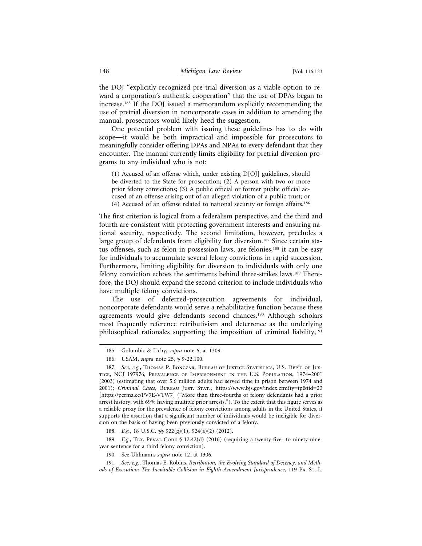the DOJ "explicitly recognized pre-trial diversion as a viable option to reward a corporation's authentic cooperation" that the use of DPAs began to increase.185 If the DOJ issued a memorandum explicitly recommending the use of pretrial diversion in noncorporate cases in addition to amending the manual, prosecutors would likely heed the suggestion.

One potential problem with issuing these guidelines has to do with scope—it would be both impractical and impossible for prosecutors to meaningfully consider offering DPAs and NPAs to every defendant that they encounter. The manual currently limits eligibility for pretrial diversion programs to any individual who is not:

(1) Accused of an offense which, under existing D[OJ] guidelines, should be diverted to the State for prosecution; (2) A person with two or more prior felony convictions; (3) A public official or former public official accused of an offense arising out of an alleged violation of a public trust; or (4) Accused of an offense related to national security or foreign affairs.186

The first criterion is logical from a federalism perspective, and the third and fourth are consistent with protecting government interests and ensuring national security, respectively. The second limitation, however, precludes a large group of defendants from eligibility for diversion.<sup>187</sup> Since certain status offenses, such as felon-in-possession laws, are felonies,<sup>188</sup> it can be easy for individuals to accumulate several felony convictions in rapid succession. Furthermore, limiting eligibility for diversion to individuals with only one felony conviction echoes the sentiments behind three-strikes laws.189 Therefore, the DOJ should expand the second criterion to include individuals who have multiple felony convictions.

The use of deferred-prosecution agreements for individual, noncorporate defendants would serve a rehabilitative function because these agreements would give defendants second chances.190 Although scholars most frequently reference retributivism and deterrence as the underlying philosophical rationales supporting the imposition of criminal liability,191

188. *E.g.*, 18 U.S.C. §§ 922(g)(1), 924(a)(2) (2012).

189. *E.g.*, TEX. PENAL CODE § 12.42(d) (2016) (requiring a twenty-five- to ninety-nineyear sentence for a third felony conviction).

<sup>185.</sup> Golumbic & Lichy, *supra* note 6, at 1309.

<sup>186.</sup> USAM, *supra* note 25, § 9-22.100.

<sup>187.</sup> *See, e.g.*, Thomas P. Bonczar, Bureau of Justice Statistics, U.S. Dep't of Justice, NCJ 197976, Prevalence of Imprisonment in the U.S. Population, 1974–2001 (2003) (estimating that over 5.6 million adults had served time in prison between 1974 and 2001); *Criminal Cases*, Bureau Just. Stat., https://www.bjs.gov/index.cfm?ty=tp&tid=23 [https://perma.cc/PV7E-VTW7] ("More than three-fourths of felony defendants had a prior arrest history, with 69% having multiple prior arrests."). To the extent that this figure serves as a reliable proxy for the prevalence of felony convictions among adults in the United States, it supports the assertion that a significant number of individuals would be ineligible for diversion on the basis of having been previously convicted of a felony.

<sup>190.</sup> See Uhlmann, *supra* note 12, at 1306.

<sup>191.</sup> *See, e.g.*, Thomas E. Robins, *Retribution, the Evolving Standard of Decency, and Methods of Execution: The Inevitable Collision in Eighth Amendment Jurisprudence*, 119 Pa. St. L.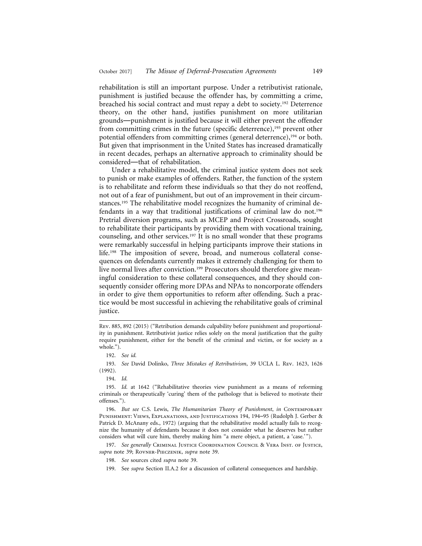rehabilitation is still an important purpose. Under a retributivist rationale, punishment is justified because the offender has, by committing a crime, breached his social contract and must repay a debt to society.192 Deterrence theory, on the other hand, justifies punishment on more utilitarian grounds—punishment is justified because it will either prevent the offender from committing crimes in the future (specific deterrence),<sup>193</sup> prevent other potential offenders from committing crimes (general deterrence),<sup>194</sup> or both. But given that imprisonment in the United States has increased dramatically in recent decades, perhaps an alternative approach to criminality should be considered—that of rehabilitation.

Under a rehabilitative model, the criminal justice system does not seek to punish or make examples of offenders. Rather, the function of the system is to rehabilitate and reform these individuals so that they do not reoffend, not out of a fear of punishment, but out of an improvement in their circumstances.195 The rehabilitative model recognizes the humanity of criminal defendants in a way that traditional justifications of criminal law do not.<sup>196</sup> Pretrial diversion programs, such as MCEP and Project Crossroads, sought to rehabilitate their participants by providing them with vocational training, counseling, and other services.197 It is no small wonder that these programs were remarkably successful in helping participants improve their stations in life.198 The imposition of severe, broad, and numerous collateral consequences on defendants currently makes it extremely challenging for them to live normal lives after conviction.<sup>199</sup> Prosecutors should therefore give meaningful consideration to these collateral consequences, and they should consequently consider offering more DPAs and NPAs to noncorporate offenders in order to give them opportunities to reform after offending. Such a practice would be most successful in achieving the rehabilitative goals of criminal justice.

Rev. 885, 892 (2015) ("Retribution demands culpability before punishment and proportionality in punishment. Retributivist justice relies solely on the moral justification that the guilty require punishment, either for the benefit of the criminal and victim, or for society as a whole.").

<sup>192.</sup> *See id.*

<sup>193.</sup> *See* David Dolinko, *Three Mistakes of Retributivism*, 39 UCLA L. Rev. 1623, 1626 (1992).

<sup>194.</sup> *Id.*

<sup>195.</sup> *Id.* at 1642 ("Rehabilitative theories view punishment as a means of reforming criminals or therapeutically 'curing' them of the pathology that is believed to motivate their offenses.").

<sup>196.</sup> *But see* C.S. Lewis, *The Humanitarian Theory of Punishment*, *in* Contemporary Punishment: Views, Explanations, and Justifications 194, 194–95 (Rudolph J. Gerber & Patrick D. McAnany eds., 1972) (arguing that the rehabilitative model actually fails to recognize the humanity of defendants because it does not consider what he deserves but rather considers what will cure him, thereby making him "a mere object, a patient, a 'case.' ").

<sup>197.</sup> *See generally* Criminal Justice Coordination Council & Vera Inst. of Justice, *supra* note 39; Rovner-Pieczenik, *supra* note 39.

<sup>198.</sup> *See* sources cited *supra* note 39.

<sup>199.</sup> See *supra* Section II.A.2 for a discussion of collateral consequences and hardship.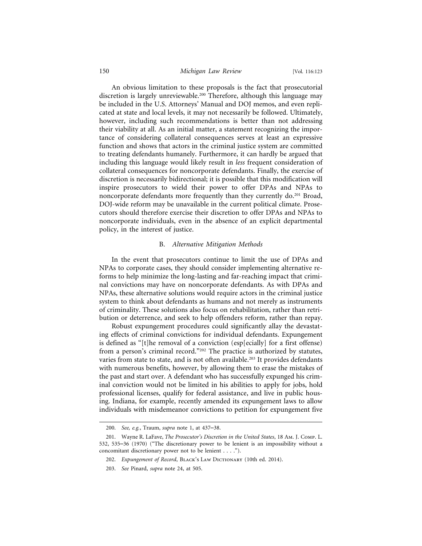#### 150 *Michigan Law Review* [Vol. 116:123

An obvious limitation to these proposals is the fact that prosecutorial discretion is largely unreviewable.200 Therefore, although this language may be included in the U.S. Attorneys' Manual and DOJ memos, and even replicated at state and local levels, it may not necessarily be followed. Ultimately, however, including such recommendations is better than not addressing their viability at all. As an initial matter, a statement recognizing the importance of considering collateral consequences serves at least an expressive function and shows that actors in the criminal justice system are committed to treating defendants humanely. Furthermore, it can hardly be argued that including this language would likely result in *less* frequent consideration of collateral consequences for noncorporate defendants. Finally, the exercise of discretion is necessarily bidirectional; it is possible that this modification will inspire prosecutors to wield their power to offer DPAs and NPAs to noncorporate defendants more frequently than they currently do.<sup>201</sup> Broad, DOJ-wide reform may be unavailable in the current political climate. Prosecutors should therefore exercise their discretion to offer DPAs and NPAs to noncorporate individuals, even in the absence of an explicit departmental policy, in the interest of justice.

#### B. *Alternative Mitigation Methods*

In the event that prosecutors continue to limit the use of DPAs and NPAs to corporate cases, they should consider implementing alternative reforms to help minimize the long-lasting and far-reaching impact that criminal convictions may have on noncorporate defendants. As with DPAs and NPAs, these alternative solutions would require actors in the criminal justice system to think about defendants as humans and not merely as instruments of criminality. These solutions also focus on rehabilitation, rather than retribution or deterrence, and seek to help offenders reform, rather than repay.

Robust expungement procedures could significantly allay the devastating effects of criminal convictions for individual defendants. Expungement is defined as "[t]he removal of a conviction (esp[ecially] for a first offense) from a person's criminal record."202 The practice is authorized by statutes, varies from state to state, and is not often available.<sup>203</sup> It provides defendants with numerous benefits, however, by allowing them to erase the mistakes of the past and start over. A defendant who has successfully expunged his criminal conviction would not be limited in his abilities to apply for jobs, hold professional licenses, qualify for federal assistance, and live in public housing. Indiana, for example, recently amended its expungement laws to allow individuals with misdemeanor convictions to petition for expungement five

<sup>200.</sup> *See, e.g.*, Traum, *supra* note 1, at 437–38.

<sup>201.</sup> Wayne R. LaFave, *The Prosecutor's Discretion in the United States*, 18 Am. J. Comp. L. 532, 535–36 (1970) ("The discretionary power to be lenient is an impossibility without a concomitant discretionary power not to be lenient . . . .").

<sup>202.</sup> *Expungement of Record*, BLACK's LAW DICTIONARY (10th ed. 2014).

<sup>203.</sup> *See* Pinard, *supra* note 24, at 505.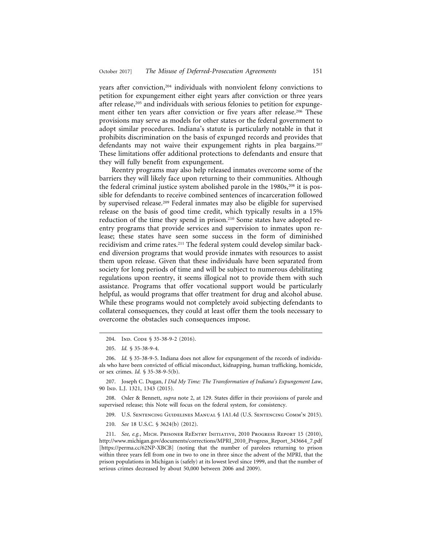years after conviction,<sup>204</sup> individuals with nonviolent felony convictions to petition for expungement either eight years after conviction or three years after release,<sup>205</sup> and individuals with serious felonies to petition for expungement either ten years after conviction or five years after release.<sup>206</sup> These provisions may serve as models for other states or the federal government to adopt similar procedures. Indiana's statute is particularly notable in that it prohibits discrimination on the basis of expunged records and provides that defendants may not waive their expungement rights in plea bargains.<sup>207</sup> These limitations offer additional protections to defendants and ensure that they will fully benefit from expungement.

Reentry programs may also help released inmates overcome some of the barriers they will likely face upon returning to their communities. Although the federal criminal justice system abolished parole in the  $1980s$ ,<sup>208</sup> it is possible for defendants to receive combined sentences of incarceration followed by supervised release.209 Federal inmates may also be eligible for supervised release on the basis of good time credit, which typically results in a 15% reduction of the time they spend in prison.210 Some states have adopted reentry programs that provide services and supervision to inmates upon release; these states have seen some success in the form of diminished recidivism and crime rates.<sup>211</sup> The federal system could develop similar backend diversion programs that would provide inmates with resources to assist them upon release. Given that these individuals have been separated from society for long periods of time and will be subject to numerous debilitating regulations upon reentry, it seems illogical not to provide them with such assistance. Programs that offer vocational support would be particularly helpful, as would programs that offer treatment for drug and alcohol abuse. While these programs would not completely avoid subjecting defendants to collateral consequences, they could at least offer them the tools necessary to overcome the obstacles such consequences impose.

207. Joseph C. Dugan, *I Did My Time: The Transformation of Indiana's Expungement Law*, 90 Ind. L.J. 1321, 1343 (2015).

208. Osler & Bennett, *supra* note 2, at 129. States differ in their provisions of parole and supervised release; this Note will focus on the federal system, for consistency.

209. U.S. Sentencing Guidelines Manual § 1A1.4d (U.S. Sentencing Comm'n 2015).

210. *See* 18 U.S.C. § 3624(b) (2012).

211. *See, e.g.*, Mich. Prisoner ReEntry Initiative, 2010 Progress Report 15 (2010), http://www.michigan.gov/documents/corrections/MPRI\_2010\_Progress\_Report\_343664\_7.pdf [https://perma.cc/62NP-XBCB] (noting that the number of parolees returning to prison within three years fell from one in two to one in three since the advent of the MPRI, that the prison populations in Michigan is (safely) at its lowest level since 1999, and that the number of serious crimes decreased by about 50,000 between 2006 and 2009).

<sup>204.</sup> IND. CODE § 35-38-9-2 (2016).

<sup>205.</sup> *Id.* § 35-38-9-4.

<sup>206.</sup> *Id.* § 35-38-9-5. Indiana does not allow for expungement of the records of individuals who have been convicted of official misconduct, kidnapping, human trafficking, homicide, or sex crimes. *Id.* § 35-38-9-5(b).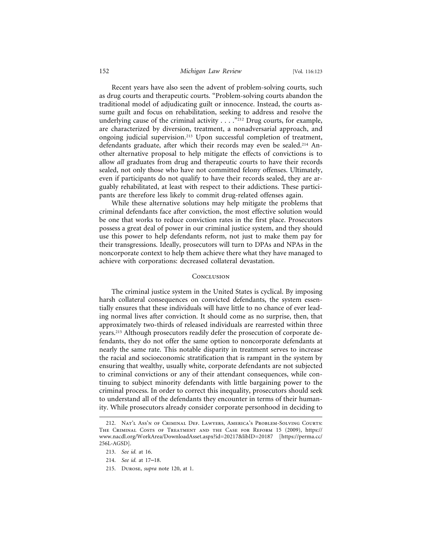#### 152 *Michigan Law Review* [Vol. 116:123

Recent years have also seen the advent of problem-solving courts, such as drug courts and therapeutic courts. "Problem-solving courts abandon the traditional model of adjudicating guilt or innocence. Instead, the courts assume guilt and focus on rehabilitation, seeking to address and resolve the underlying cause of the criminal activity  $\dots$ ."<sup>212</sup> Drug courts, for example, are characterized by diversion, treatment, a nonadversarial approach, and ongoing judicial supervision.213 Upon successful completion of treatment, defendants graduate, after which their records may even be sealed.214 Another alternative proposal to help mitigate the effects of convictions is to allow *all* graduates from drug and therapeutic courts to have their records sealed, not only those who have not committed felony offenses. Ultimately, even if participants do not qualify to have their records sealed, they are arguably rehabilitated, at least with respect to their addictions. These participants are therefore less likely to commit drug-related offenses again.

While these alternative solutions may help mitigate the problems that criminal defendants face after conviction, the most effective solution would be one that works to reduce conviction rates in the first place. Prosecutors possess a great deal of power in our criminal justice system, and they should use this power to help defendants reform, not just to make them pay for their transgressions. Ideally, prosecutors will turn to DPAs and NPAs in the noncorporate context to help them achieve there what they have managed to achieve with corporations: decreased collateral devastation.

#### **CONCLUSION**

The criminal justice system in the United States is cyclical. By imposing harsh collateral consequences on convicted defendants, the system essentially ensures that these individuals will have little to no chance of ever leading normal lives after conviction. It should come as no surprise, then, that approximately two-thirds of released individuals are rearrested within three years.215 Although prosecutors readily defer the prosecution of corporate defendants, they do not offer the same option to noncorporate defendants at nearly the same rate. This notable disparity in treatment serves to increase the racial and socioeconomic stratification that is rampant in the system by ensuring that wealthy, usually white, corporate defendants are not subjected to criminal convictions or any of their attendant consequences, while continuing to subject minority defendants with little bargaining power to the criminal process. In order to correct this inequality, prosecutors should seek to understand all of the defendants they encounter in terms of their humanity. While prosecutors already consider corporate personhood in deciding to

215. Durose, *supra* note 120, at 1.

<sup>212.</sup> Nat'l Ass'n of Criminal Def. Lawyers, America's Problem-Solving Courts: The Criminal Costs of Treatment and the Case for Reform 15 (2009), https:// www.nacdl.org/WorkArea/DownloadAsset.aspx?id=20217&libID=20187 [https://perma.cc/ 256L-AGSD].

<sup>213.</sup> *See id.* at 16.

<sup>214.</sup> *See id.* at 17–18.